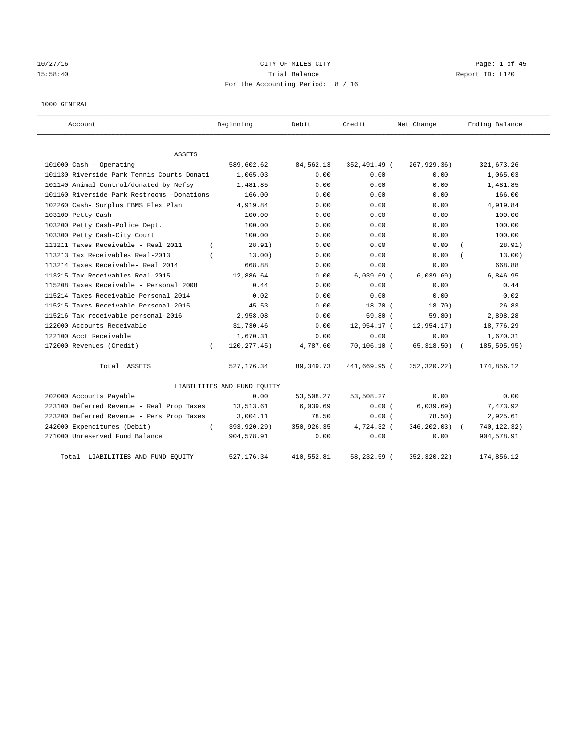$10/27/16$  Page: 1 of 45 15:58:40 **Trial Balance Trial Balance Report ID:** L120 For the Accounting Period: 8 / 16

#### 1000 GENERAL

| Account                                    | Beginning                   | Debit       | Credit         | Net Change    | Ending Balance |
|--------------------------------------------|-----------------------------|-------------|----------------|---------------|----------------|
| ASSETS                                     |                             |             |                |               |                |
| 101000 Cash - Operating                    | 589,602.62                  | 84,562.13   | 352,491.49 (   | 267,929.36)   | 321,673.26     |
| 101130 Riverside Park Tennis Courts Donati | 1,065.03                    | 0.00        | 0.00           | 0.00          | 1,065.03       |
| 101140 Animal Control/donated by Nefsy     | 1,481.85                    | 0.00        | 0.00           | 0.00          | 1,481.85       |
| 101160 Riverside Park Restrooms -Donations | 166.00                      | 0.00        | 0.00           | 0.00          | 166.00         |
| 102260 Cash- Surplus EBMS Flex Plan        | 4,919.84                    | 0.00        | 0.00           | 0.00          | 4,919.84       |
| 103100 Petty Cash-                         | 100.00                      | 0.00        | 0.00           | 0.00          | 100.00         |
| 103200 Petty Cash-Police Dept.             | 100.00                      | 0.00        | 0.00           | 0.00          | 100.00         |
| 103300 Petty Cash-City Court               | 100.00                      | 0.00        | 0.00           | 0.00          | 100.00         |
| 113211 Taxes Receivable - Real 2011        | 28.91)                      | 0.00        | 0.00           | 0.00          | 28.91)         |
| 113213 Tax Receivables Real-2013           | 13.00)                      | 0.00        | 0.00           | 0.00          | 13.00)         |
| 113214 Taxes Receivable- Real 2014         | 668.88                      | 0.00        | 0.00           | 0.00          | 668.88         |
| 113215 Tax Receivables Real-2015           | 12,886.64                   | 0.00        | $6,039.69$ (   | 6,039.69)     | 6,846.95       |
| 115208 Taxes Receivable - Personal 2008    | 0.44                        | 0.00        | 0.00           | 0.00          | 0.44           |
| 115214 Taxes Receivable Personal 2014      | 0.02                        | 0.00        | 0.00           | 0.00          | 0.02           |
| 115215 Taxes Receivable Personal-2015      | 45.53                       | 0.00        | 18.70(         | 18.70)        | 26.83          |
| 115216 Tax receivable personal-2016        | 2,958.08                    | 0.00        | 59.80(         | 59.80)        | 2,898.28       |
| 122000 Accounts Receivable                 | 31,730.46                   | 0.00        | 12,954.17 (    | 12,954.17)    | 18,776.29      |
| 122100 Acct Receivable                     | 1,670.31                    | 0.00        | 0.00           | 0.00          | 1,670.31       |
| 172000 Revenues (Credit)<br>$\left($       | 120, 277.45)                | 4,787.60    | $70, 106.10$ ( | $65,318.50$ ( | 185, 595.95)   |
| Total ASSETS                               | 527, 176.34                 | 89, 349. 73 | 441,669.95 (   | 352, 320.22)  | 174,856.12     |
|                                            | LIABILITIES AND FUND EQUITY |             |                |               |                |
| 202000 Accounts Payable                    | 0.00                        | 53,508.27   | 53,508.27      | 0.00          | 0.00           |
| 223100 Deferred Revenue - Real Prop Taxes  | 13,513.61                   | 6,039.69    | 0.00(          | 6,039.69)     | 7,473.92       |
| 223200 Deferred Revenue - Pers Prop Taxes  | 3,004.11                    | 78.50       | 0.00(          | 78.50)        | 2,925.61       |
| 242000 Expenditures (Debit)<br>$\left($    | 393,920.29)                 | 350,926.35  | 4,724.32 (     | 346,202.03)   | 740,122.32)    |
| 271000 Unreserved Fund Balance             | 904,578.91                  | 0.00        | 0.00           | 0.00          | 904,578.91     |
| Total LIABILITIES AND FUND EQUITY          | 527, 176.34                 | 410,552.81  | 58,232.59 (    | 352, 320.22)  | 174,856.12     |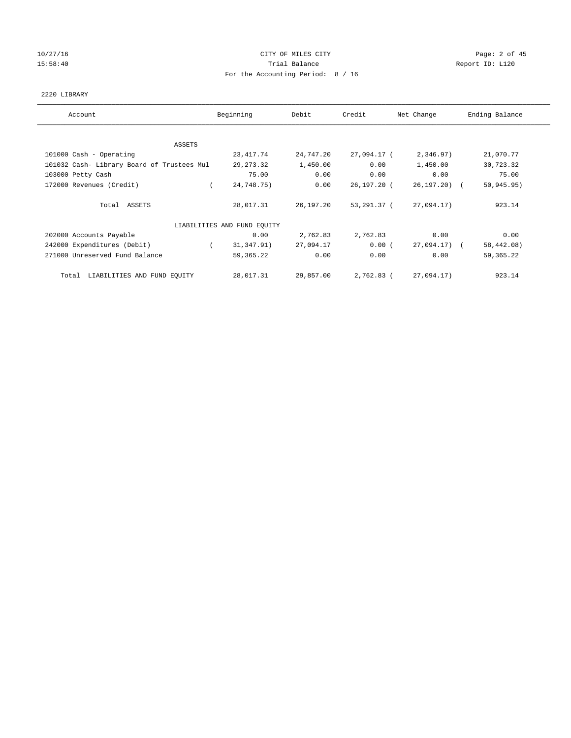## 10/27/16 CITY OF MILES CITY Page: 2 of 45 15:58:40 **Trial Balance Trial Balance Report ID:** L120 For the Accounting Period: 8 / 16

#### 2220 LIBRARY

| Account                                    | Beginning                   | Debit     | Credit      | Net Change   | Ending Balance |
|--------------------------------------------|-----------------------------|-----------|-------------|--------------|----------------|
| ASSETS                                     |                             |           |             |              |                |
| 101000 Cash - Operating                    | 23, 417.74                  | 24,747.20 | 27,094.17 ( | 2,346.97)    | 21,070.77      |
| 101032 Cash- Library Board of Trustees Mul | 29,273.32                   | 1,450.00  | 0.00        | 1,450.00     | 30,723.32      |
| 103000 Petty Cash                          | 75.00                       | 0.00      | 0.00        | 0.00         | 75.00          |
| 172000 Revenues (Credit)                   | 24,748.75)                  | 0.00      | 26,197.20 ( | 26,197.20) ( | 50, 945.95)    |
| Total ASSETS                               | 28,017.31                   | 26,197.20 | 53,291.37 ( | 27,094.17)   | 923.14         |
|                                            | LIABILITIES AND FUND EQUITY |           |             |              |                |
| 202000 Accounts Payable                    | 0.00                        | 2,762.83  | 2,762.83    | 0.00         | 0.00           |
| 242000 Expenditures (Debit)                | 31, 347.91)<br>$\sqrt{2}$   | 27,094.17 | 0.00(       | 27,094.17) ( | 58,442.08)     |
| 271000 Unreserved Fund Balance             | 59,365.22                   | 0.00      | 0.00        | 0.00         | 59, 365. 22    |
| Total LIABILITIES AND FUND EQUITY          | 28,017.31                   | 29,857.00 | 2,762.83 (  | 27,094.17)   | 923.14         |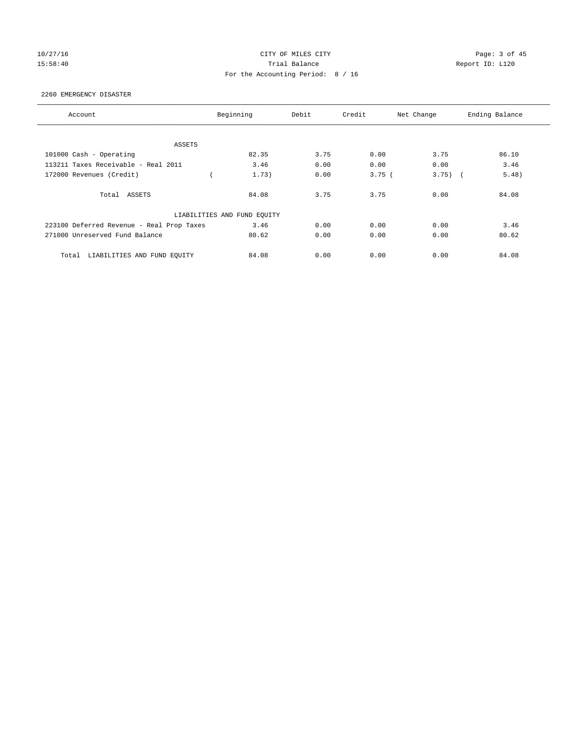## 10/27/16 CITY OF MILES CITY Page: 3 of 45 15:58:40 **Trial Balance Trial Balance Report ID:** L120 For the Accounting Period: 8 / 16

#### 2260 EMERGENCY DISASTER

| Account                                   | Beginning                   | Debit | Credit   | Net Change | Ending Balance |
|-------------------------------------------|-----------------------------|-------|----------|------------|----------------|
|                                           |                             |       |          |            |                |
| ASSETS                                    |                             |       |          |            |                |
| 101000 Cash - Operating                   | 82.35                       | 3.75  | 0.00     | 3.75       | 86.10          |
| 113211 Taxes Receivable - Real 2011       | 3.46                        | 0.00  | 0.00     | 0.00       | 3.46           |
| 172000 Revenues (Credit)                  | 1.73)                       | 0.00  | $3.75$ ( | $3.75$ ) ( | 5.48)          |
| Total ASSETS                              | 84.08                       | 3.75  | 3.75     | 0.00       | 84.08          |
|                                           | LIABILITIES AND FUND EQUITY |       |          |            |                |
| 223100 Deferred Revenue - Real Prop Taxes | 3.46                        | 0.00  | 0.00     | 0.00       | 3.46           |
| 271000 Unreserved Fund Balance            | 80.62                       | 0.00  | 0.00     | 0.00       | 80.62          |
| LIABILITIES AND FUND EQUITY<br>Total      | 84.08                       | 0.00  | 0.00     | 0.00       | 84.08          |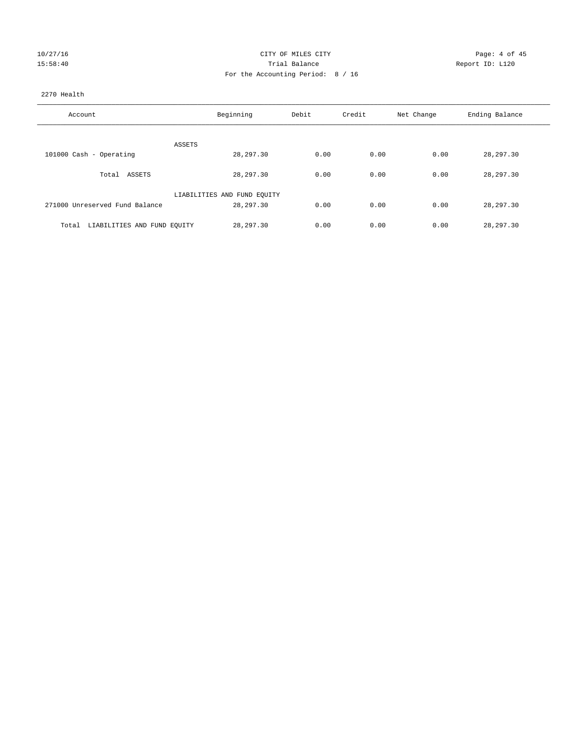| 10/27/16 |  |  |         |
|----------|--|--|---------|
|          |  |  | 50 · 10 |

## CITY OF MILES CITY CONTROL CONTROL CONTROL CITY 15:58:40 **Trial Balance Trial Balance Report ID:** L120 For the Accounting Period: 8 / 16

#### 2270 Health

| Account                              | Beginning                   | Debit | Credit | Net Change | Ending Balance |
|--------------------------------------|-----------------------------|-------|--------|------------|----------------|
| ASSETS                               |                             |       |        |            |                |
| 101000 Cash - Operating              | 28, 297.30                  | 0.00  | 0.00   | 0.00       | 28, 297.30     |
| Total ASSETS                         | 28,297.30                   | 0.00  | 0.00   | 0.00       | 28,297.30      |
|                                      | LIABILITIES AND FUND EQUITY |       |        |            |                |
| 271000 Unreserved Fund Balance       | 28,297.30                   | 0.00  | 0.00   | 0.00       | 28,297.30      |
| LIABILITIES AND FUND EQUITY<br>Total | 28, 297, 30                 | 0.00  | 0.00   | 0.00       | 28,297.30      |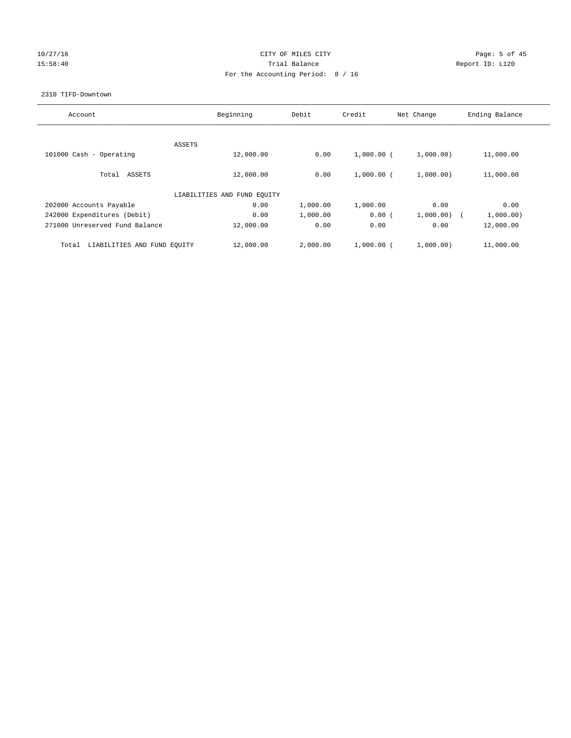## 10/27/16 CITY OF MILES CITY Page: 5 of 45 15:58:40 **Trial Balance Trial Balance Report ID:** L120 For the Accounting Period: 8 / 16

#### 2310 TIFD-Downtown

| Account                              | Beginning                   | Debit    | Credit       | Net Change | Ending Balance |
|--------------------------------------|-----------------------------|----------|--------------|------------|----------------|
|                                      | ASSETS                      |          |              |            |                |
| 101000 Cash - Operating              | 12,000.00                   | 0.00     | $1,000.00$ ( | 1,000.00)  | 11,000.00      |
| Total<br>ASSETS                      | 12,000.00                   | 0.00     | $1,000.00$ ( | 1,000.00)  | 11,000.00      |
|                                      | LIABILITIES AND FUND EQUITY |          |              |            |                |
| 202000 Accounts Payable              | 0.00                        | 1,000.00 | 1,000.00     | 0.00       | 0.00           |
| 242000 Expenditures (Debit)          | 0.00                        | 1,000.00 | 0.00(        | 1,000.00)  | 1,000.00)      |
| 271000 Unreserved Fund Balance       | 12,000.00                   | 0.00     | 0.00         | 0.00       | 12,000.00      |
| LIABILITIES AND FUND EQUITY<br>Total | 12,000.00                   | 2,000.00 | $1,000.00$ ( | 1,000.00)  | 11,000.00      |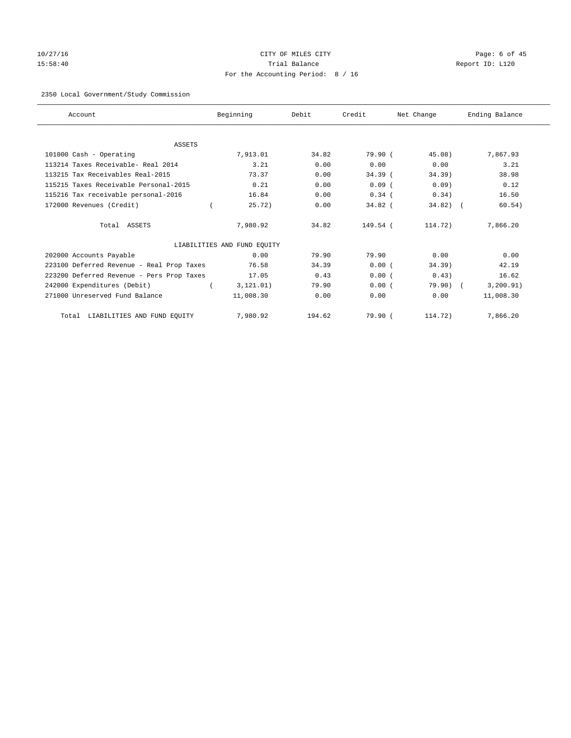# 10/27/16 CITY OF MILES CITY Page: 6 of 45 15:58:40 Trial Balance Report ID: L120 For the Accounting Period: 8 / 16

## 2350 Local Government/Study Commission

| Account                                   | Beginning                   | Debit  | Credit    | Net Change  | Ending Balance |
|-------------------------------------------|-----------------------------|--------|-----------|-------------|----------------|
|                                           |                             |        |           |             |                |
| <b>ASSETS</b>                             |                             |        |           |             |                |
| 101000 Cash - Operating                   | 7,913.01                    | 34.82  | 79.90(    | 45.08)      | 7,867.93       |
| 113214 Taxes Receivable- Real 2014        | 3.21                        | 0.00   | 0.00      | 0.00        | 3.21           |
| 113215 Tax Receivables Real-2015          | 73.37                       | 0.00   | $34.39$ ( | 34.39)      | 38.98          |
| 115215 Taxes Receivable Personal-2015     | 0.21                        | 0.00   | $0.09$ (  | 0.09)       | 0.12           |
| 115216 Tax receivable personal-2016       | 16.84                       | 0.00   | $0.34$ (  | 0.34)       | 16.50          |
| 172000 Revenues (Credit)                  | 25.72)                      | 0.00   | $34.82$ ( | $34.82$ ) ( | 60.54)         |
| Total ASSETS                              | 7,980.92                    | 34.82  | 149.54 (  | 114.72)     | 7,866.20       |
|                                           | LIABILITIES AND FUND EQUITY |        |           |             |                |
| 202000 Accounts Payable                   | 0.00                        | 79.90  | 79.90     | 0.00        | 0.00           |
| 223100 Deferred Revenue - Real Prop Taxes | 76.58                       | 34.39  | 0.00(     | 34.39)      | 42.19          |
| 223200 Deferred Revenue - Pers Prop Taxes | 17.05                       | 0.43   | 0.00(     | 0.43)       | 16.62          |
| 242000 Expenditures (Debit)               | 3, 121.01)                  | 79.90  | 0.00(     | $79.90)$ (  | 3, 200.91)     |
| 271000 Unreserved Fund Balance            | 11,008.30                   | 0.00   | 0.00      | 0.00        | 11,008.30      |
| LIABILITIES AND FUND EQUITY<br>Total      | 7,980.92                    | 194.62 | 79.90(    | 114.72)     | 7,866.20       |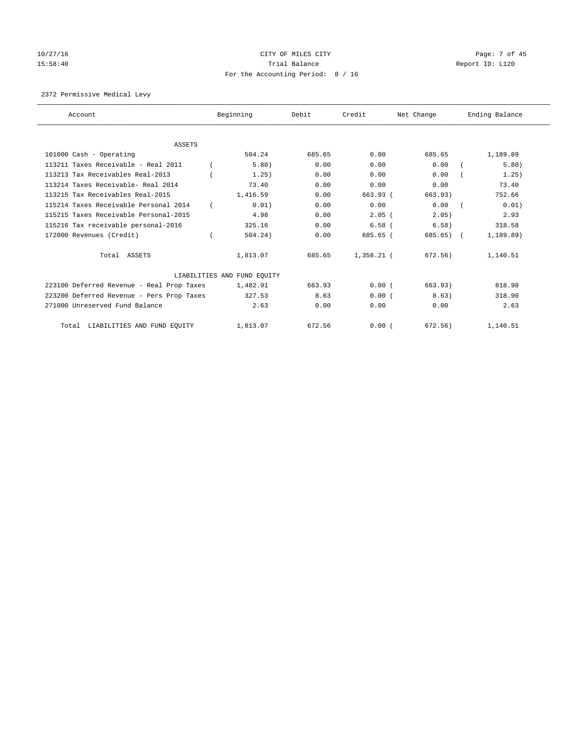# 10/27/16 CITY OF MILES CITY Page: 7 of 45 15:58:40 **Trial Balance Trial Balance Report ID:** L120 For the Accounting Period: 8 / 16

2372 Permissive Medical Levy

| Account                                   |  | Beginning                   | Debit  | Credit       | Net Change  | Ending Balance |
|-------------------------------------------|--|-----------------------------|--------|--------------|-------------|----------------|
|                                           |  |                             |        |              |             |                |
| <b>ASSETS</b><br>101000 Cash - Operating  |  | 504.24                      | 685.65 | 0.00         | 685.65      | 1,189.89       |
| 113211 Taxes Receivable - Real 2011       |  | 5.80)                       | 0.00   | 0.00         | 0.00        | 5.80)          |
|                                           |  |                             |        |              |             |                |
| 113213 Tax Receivables Real-2013          |  | 1.25)                       | 0.00   | 0.00         | 0.00        | 1.25)          |
| 113214 Taxes Receivable- Real 2014        |  | 73.40                       | 0.00   | 0.00         | 0.00        | 73.40          |
| 113215 Tax Receivables Real-2015          |  | 1,416.59                    | 0.00   | $663.93$ $($ | 663.93)     | 752.66         |
| 115214 Taxes Receivable Personal 2014     |  | 0.01)                       | 0.00   | 0.00         | 0.00        | 0.01)          |
| 115215 Taxes Receivable Personal-2015     |  | 4.98                        | 0.00   | 2.05(        | 2.05)       | 2.93           |
| 115216 Tax receivable personal-2016       |  | 325.16                      | 0.00   | $6.58$ (     | 6.58)       | 318.58         |
| 172000 Revenues (Credit)                  |  | 504.24)                     | 0.00   | 685.65 (     | $685.65)$ ( | 1,189.89)      |
| Total ASSETS                              |  | 1,813.07                    | 685.65 | $1,358.21$ ( | 672.56)     | 1,140.51       |
|                                           |  | LIABILITIES AND FUND EQUITY |        |              |             |                |
| 223100 Deferred Revenue - Real Prop Taxes |  | 1,482.91                    | 663.93 | 0.00(        | 663.93)     | 818.98         |
| 223200 Deferred Revenue - Pers Prop Taxes |  | 327.53                      | 8.63   | 0.00(        | 8.63)       | 318.90         |
| 271000 Unreserved Fund Balance            |  | 2.63                        | 0.00   | 0.00         | 0.00        | 2.63           |
| LIABILITIES AND FUND EQUITY<br>Total      |  | 1,813.07                    | 672.56 | 0.00(        | 672.56)     | 1,140.51       |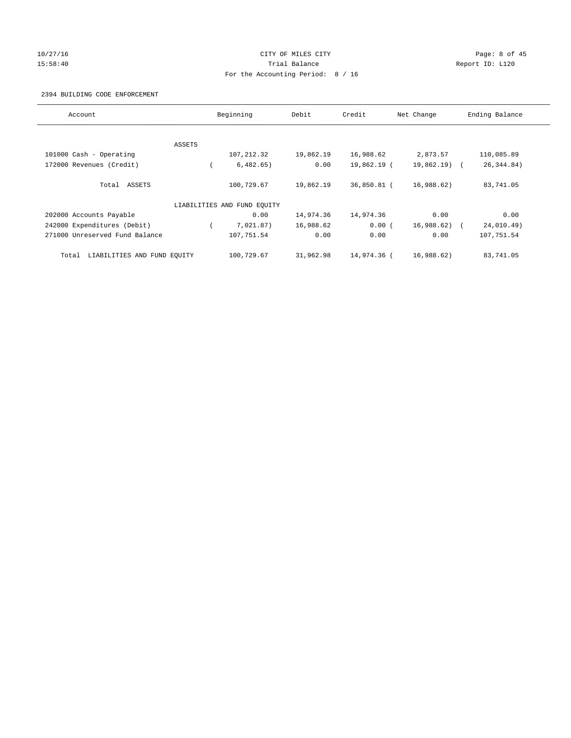# 10/27/16 CITY OF MILES CITY Page: 8 of 45 15:58:40 **Trial Balance Trial Balance Report ID:** L120 For the Accounting Period: 8 / 16

#### 2394 BUILDING CODE ENFORCEMENT

| Account                              | Beginning |                             | Debit     | Credit<br>Net Change |               | Ending Balance |  |
|--------------------------------------|-----------|-----------------------------|-----------|----------------------|---------------|----------------|--|
|                                      |           |                             |           |                      |               |                |  |
|                                      | ASSETS    |                             |           |                      |               |                |  |
| 101000 Cash - Operating              |           | 107,212.32                  | 19,862.19 | 16,988.62            | 2,873.57      | 110,085.89     |  |
| 172000 Revenues (Credit)             |           | 6,482.65)                   | 0.00      | 19,862.19 (          | $19,862.19$ ( | 26, 344.84)    |  |
| Total ASSETS                         |           | 100,729.67                  | 19,862.19 | 36,850.81 (          | 16,988.62)    | 83,741.05      |  |
|                                      |           | LIABILITIES AND FUND EQUITY |           |                      |               |                |  |
| 202000 Accounts Payable              |           | 0.00                        | 14,974.36 | 14,974.36            | 0.00          | 0.00           |  |
| 242000 Expenditures (Debit)          |           | 7,021.87)                   | 16,988.62 | 0.00(                | 16,988.62)    | 24,010.49)     |  |
| 271000 Unreserved Fund Balance       |           | 107,751.54                  | 0.00      | 0.00                 | 0.00          | 107,751.54     |  |
| LIABILITIES AND FUND EQUITY<br>Total |           | 100,729.67                  | 31,962.98 | 14,974.36 (          | 16,988.62)    | 83,741.05      |  |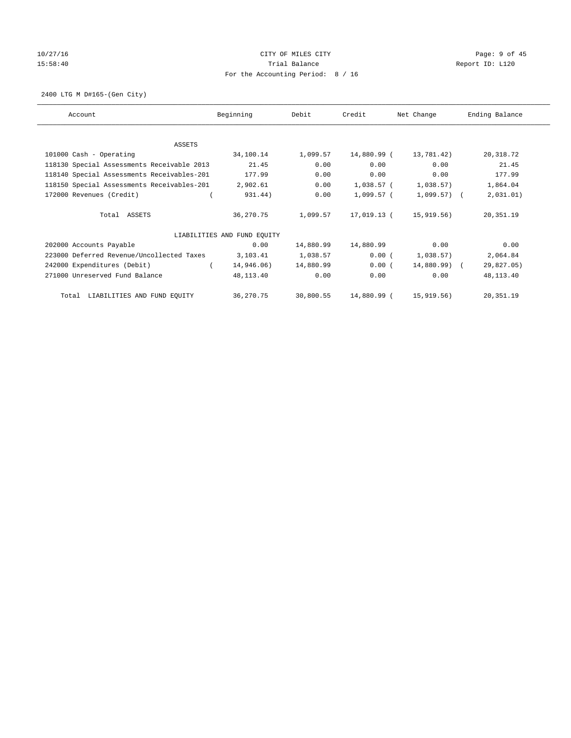# 10/27/16 CITY OF MILES CITY Page: 9 of 45 15:58:40 Trial Balance Trial Balance Report ID: L120 For the Accounting Period: 8 / 16

2400 LTG M D#165-(Gen City)

| Account                                             | Beginning                   | Debit     | Credit      | Net Change   | Ending Balance |
|-----------------------------------------------------|-----------------------------|-----------|-------------|--------------|----------------|
|                                                     |                             |           |             |              |                |
| ASSETS                                              |                             |           |             |              |                |
| 101000 Cash - Operating                             | 34,100.14                   | 1,099.57  | 14,880.99 ( | 13,781.42)   | 20, 318.72     |
| 118130 Special Assessments Receivable 2013          | 21.45                       | 0.00      | 0.00        | 0.00         | 21.45          |
| 118140 Special Assessments Receivables-201          | 177.99                      | 0.00      | 0.00        | 0.00         | 177.99         |
| 118150 Special Assessments Receivables-201 2,902.61 |                             | 0.00      | 1,038.57 (  | 1,038.57)    | 1,864.04       |
| 172000 Revenues (Credit)                            | 931.44)                     | 0.00      | 1,099.57 (  | $1,099.57$ ( | 2,031.01)      |
| Total ASSETS                                        | 36,270.75                   | 1,099.57  | 17,019.13 ( | 15,919.56)   | 20,351.19      |
|                                                     | LIABILITIES AND FUND EQUITY |           |             |              |                |
| 202000 Accounts Payable                             | 0.00                        | 14,880.99 | 14,880.99   | 0.00         | 0.00           |
| 223000 Deferred Revenue/Uncollected Taxes           | 3,103.41                    | 1,038.57  | $0.00$ (    | 1,038.57)    | 2,064.84       |
| 242000 Expenditures (Debit)                         | 14,946.06)                  | 14,880.99 | 0.00(       | 14,880.99) ( | 29,827.05)     |
| 271000 Unreserved Fund Balance                      | 48,113.40                   | 0.00      | 0.00        | 0.00         | 48,113.40      |
| Total LIABILITIES AND FUND EQUITY                   | 36,270.75                   | 30,800.55 | 14,880.99 ( | 15,919.56)   | 20,351.19      |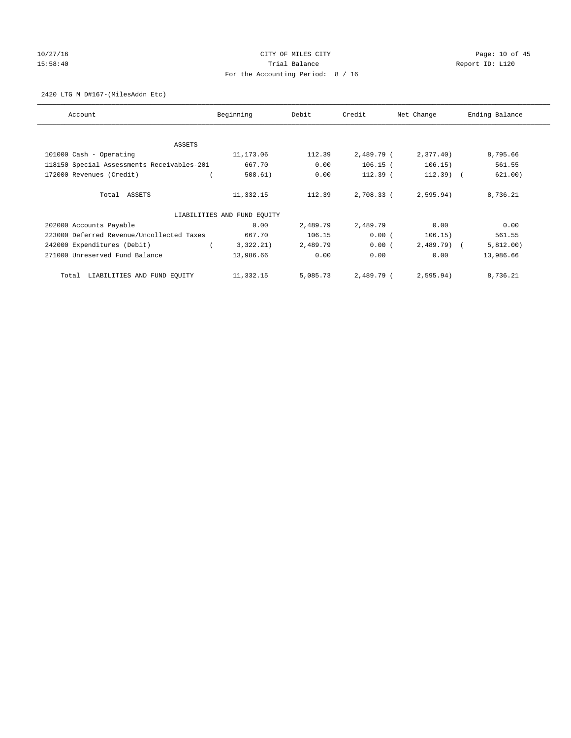# 10/27/16 **Page: 10 of 45** CITY OF MILES CITY **Page: 10 of 45** 15:58:40 **Trial Balance Trial Balance Report ID:** L120 For the Accounting Period: 8 / 16

2420 LTG M D#167-(MilesAddn Etc)

| Account                                    | Beginning                   | Debit    | Credit     | Net Change   | Ending Balance |
|--------------------------------------------|-----------------------------|----------|------------|--------------|----------------|
| ASSETS                                     |                             |          |            |              |                |
| 101000 Cash - Operating                    | 11,173.06                   | 112.39   | 2,489.79 ( | 2,377.40     | 8,795.66       |
| 118150 Special Assessments Receivables-201 | 667.70                      | 0.00     | $106.15$ ( | 106.15)      | 561.55         |
| 172000 Revenues (Credit)                   | 508.61)                     | 0.00     | $112.39$ ( | $112.39$ (   | 621.00)        |
| Total ASSETS                               | 11,332.15                   | 112.39   | 2,708.33 ( | 2,595.94)    | 8,736.21       |
|                                            | LIABILITIES AND FUND EQUITY |          |            |              |                |
| 202000 Accounts Payable                    | 0.00                        | 2,489.79 | 2,489.79   | 0.00         | 0.00           |
| 223000 Deferred Revenue/Uncollected Taxes  | 667.70                      | 106.15   | 0.00(      | 106.15)      | 561.55         |
| 242000 Expenditures (Debit)                | 3,322.21)                   | 2,489.79 | 0.00(      | $2,489.79$ ( | 5,812.00)      |
| 271000 Unreserved Fund Balance             | 13,986.66                   | 0.00     | 0.00       | 0.00         | 13,986.66      |
| LIABILITIES AND FUND EQUITY<br>Total       | 11,332.15                   | 5,085.73 | 2,489.79 ( | 2,595.94)    | 8,736.21       |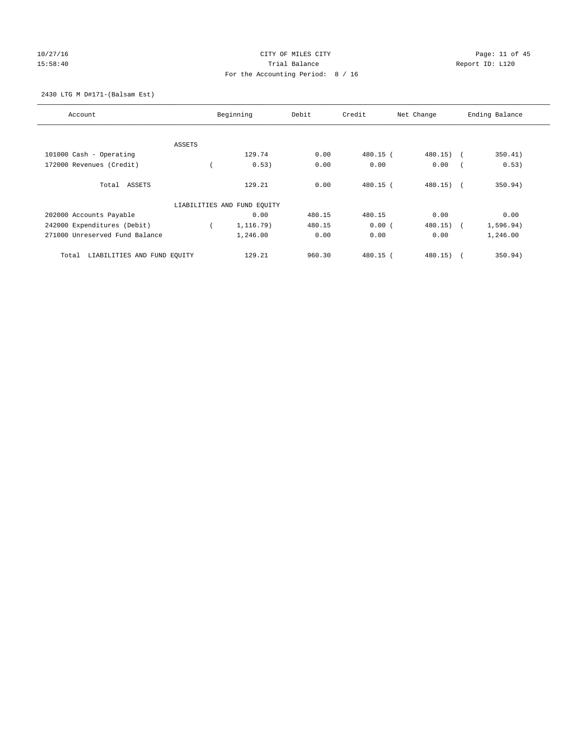## 10/27/16 Page: 11 of 45 15:58:40 **Trial Balance Trial Balance Report ID:** L120 For the Accounting Period: 8 / 16

#### 2430 LTG M D#171-(Balsam Est)

| Account                              |        | Beginning                   | Debit  | Credit   | Net Change | Ending Balance |
|--------------------------------------|--------|-----------------------------|--------|----------|------------|----------------|
|                                      |        |                             |        |          |            |                |
|                                      | ASSETS |                             |        |          |            |                |
| 101000 Cash - Operating              |        | 129.74                      | 0.00   | 480.15 ( | 480.15) (  | 350.41)        |
| 172000 Revenues (Credit)             |        | 0.53)                       | 0.00   | 0.00     | 0.00       | 0.53)          |
| Total ASSETS                         |        | 129.21                      | 0.00   | 480.15 ( | 480.15) (  | 350.94)        |
|                                      |        | LIABILITIES AND FUND EQUITY |        |          |            |                |
| 202000 Accounts Payable              |        | 0.00                        | 480.15 | 480.15   | 0.00       | 0.00           |
| 242000 Expenditures (Debit)          |        | 1,116.79)                   | 480.15 | 0.00(    | 480.15)    | 1,596.94)      |
| 271000 Unreserved Fund Balance       |        | 1,246.00                    | 0.00   | 0.00     | 0.00       | 1,246.00       |
| LIABILITIES AND FUND EQUITY<br>Total |        | 129.21                      | 960.30 | 480.15 ( | 480.15)    | 350.94)        |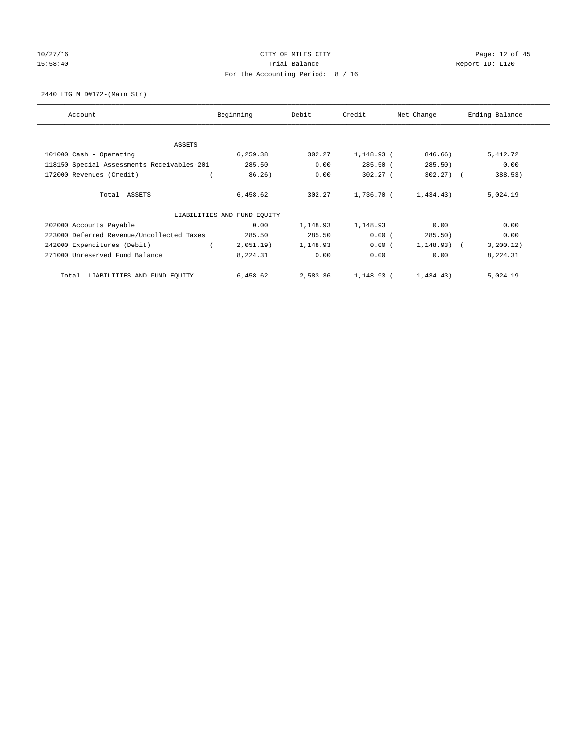## 10/27/16 Page: 12 of 45 15:58:40 Trial Balance Trial Balance Report ID: L120 For the Accounting Period: 8 / 16

2440 LTG M D#172-(Main Str)

| Account                                    | Beginning                   | Debit    | Credit     | Net Change     | Ending Balance |
|--------------------------------------------|-----------------------------|----------|------------|----------------|----------------|
| ASSETS                                     |                             |          |            |                |                |
| 101000 Cash - Operating                    | 6,259.38                    | 302.27   | 1,148.93 ( | 846.66)        | 5,412.72       |
| 118150 Special Assessments Receivables-201 | 285.50                      | 0.00     | $285.50$ ( | 285.50)        | 0.00           |
| 172000 Revenues (Credit)                   | 86.26)                      | 0.00     | $302.27$ ( | $302.27$ ) (   | 388.53)        |
| Total ASSETS                               | 6,458.62                    | 302.27   | 1,736.70 ( | 1,434.43)      | 5,024.19       |
|                                            | LIABILITIES AND FUND EQUITY |          |            |                |                |
| 202000 Accounts Payable                    | 0.00                        | 1,148.93 | 1,148.93   | 0.00           | 0.00           |
| 223000 Deferred Revenue/Uncollected Taxes  | 285.50                      | 285.50   | 0.00(      | 285.50)        | 0.00           |
| 242000 Expenditures (Debit)                | $2,051.19$ )                | 1,148.93 | 0.00(      | $1,148.93$ ) ( | 3, 200.12)     |
| 271000 Unreserved Fund Balance             | 8,224.31                    | 0.00     | 0.00       | 0.00           | 8,224.31       |
| LIABILITIES AND FUND EQUITY<br>Total       | 6,458.62                    | 2,583.36 | 1,148.93 ( | 1,434.43)      | 5,024.19       |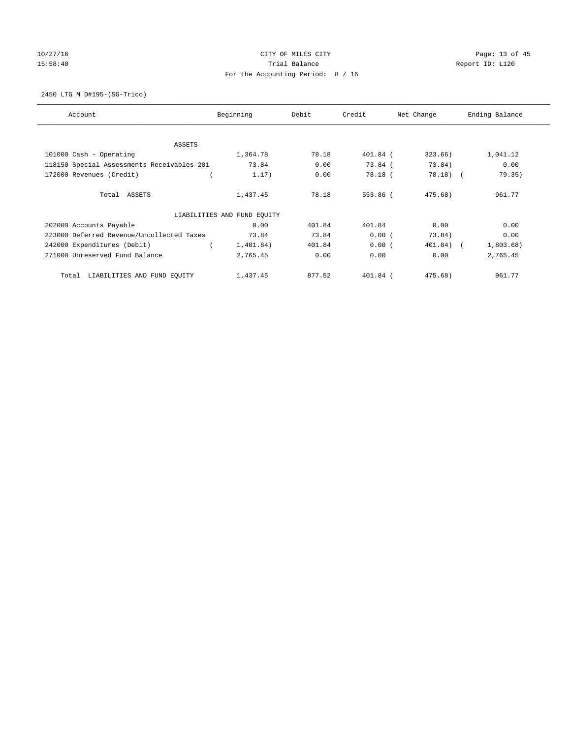## 10/27/16 Page: 13 of 45 15:58:40 Trial Balance Trial Balance Report ID: L120 For the Accounting Period: 8 / 16

2450 LTG M D#195-(SG-Trico)

| Account                                    | Beginning                   | Debit  | Credit     | Net Change | Ending Balance |
|--------------------------------------------|-----------------------------|--------|------------|------------|----------------|
| ASSETS                                     |                             |        |            |            |                |
| 101000 Cash - Operating                    | 1,364.78                    | 78.18  | 401.84 (   | 323.66)    | 1,041.12       |
| 118150 Special Assessments Receivables-201 | 73.84                       | 0.00   | $73.84$ (  | 73.84)     | 0.00           |
| 172000 Revenues (Credit)                   | 1.17)                       | 0.00   | 78.18 (    | $78.18)$ ( | 79.35)         |
| Total ASSETS                               | 1,437.45                    | 78.18  | 553.86 (   | 475.68)    | 961.77         |
|                                            | LIABILITIES AND FUND EQUITY |        |            |            |                |
| 202000 Accounts Payable                    | 0.00                        | 401.84 | 401.84     | 0.00       | 0.00           |
| 223000 Deferred Revenue/Uncollected Taxes  | 73.84                       | 73.84  | 0.00(      | 73.84)     | 0.00           |
| 242000 Expenditures (Debit)                | 1,401.84)                   | 401.84 | 0.00(      | 401.84) (  | 1,803.68)      |
| 271000 Unreserved Fund Balance             | 2,765.45                    | 0.00   | 0.00       | 0.00       | 2,765.45       |
| LIABILITIES AND FUND EQUITY<br>Total       | 1,437.45                    | 877.52 | $401.84$ ( | 475.68)    | 961.77         |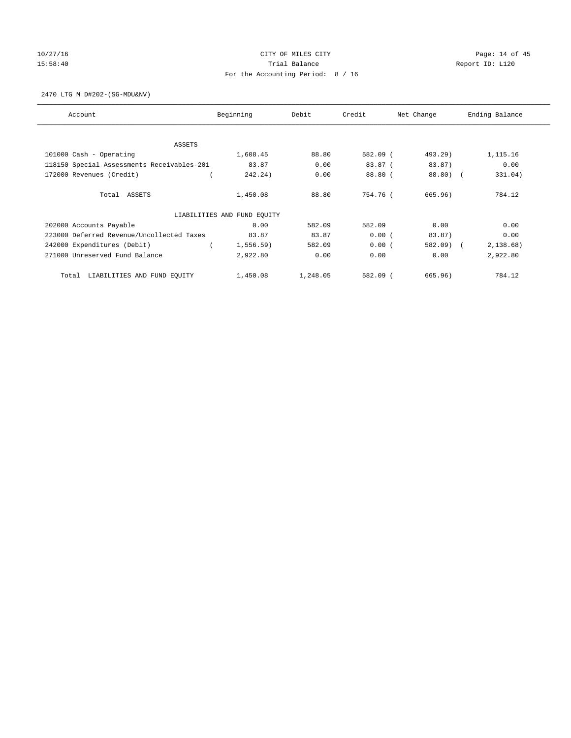## 10/27/16 Page: 14 of 45 15:58:40 **Trial Balance Trial Balance Report ID:** L120 For the Accounting Period: 8 / 16

2470 LTG M D#202-(SG-MDU&NV)

| Account                                    | Beginning                   | Debit    | Credit     | Net Change | Ending Balance |
|--------------------------------------------|-----------------------------|----------|------------|------------|----------------|
| ASSETS                                     |                             |          |            |            |                |
| 101000 Cash - Operating                    | 1,608.45                    | 88.80    | 582.09 (   | 493.29)    | 1,115.16       |
| 118150 Special Assessments Receivables-201 | 83.87                       | 0.00     | $83.87$ (  | 83.87)     | 0.00           |
| 172000 Revenues (Credit)                   | 242.24)                     | 0.00     | 88.80 (    | 88.80) (   | 331.04)        |
| Total ASSETS                               | 1,450.08                    | 88.80    | 754.76 (   | 665.96)    | 784.12         |
|                                            | LIABILITIES AND FUND EQUITY |          |            |            |                |
| 202000 Accounts Payable                    | 0.00                        | 582.09   | 582.09     | 0.00       | 0.00           |
| 223000 Deferred Revenue/Uncollected Taxes  | 83.87                       | 83.87    | 0.00(      | 83.87)     | 0.00           |
| 242000 Expenditures (Debit)                | 1,556.59)                   | 582.09   | 0.00(      | 582.09) (  | 2,138.68)      |
| 271000 Unreserved Fund Balance             | 2,922.80                    | 0.00     | 0.00       | 0.00       | 2,922.80       |
| LIABILITIES AND FUND EQUITY<br>Total       | 1,450.08                    | 1,248.05 | $582.09$ ( | 665.96)    | 784.12         |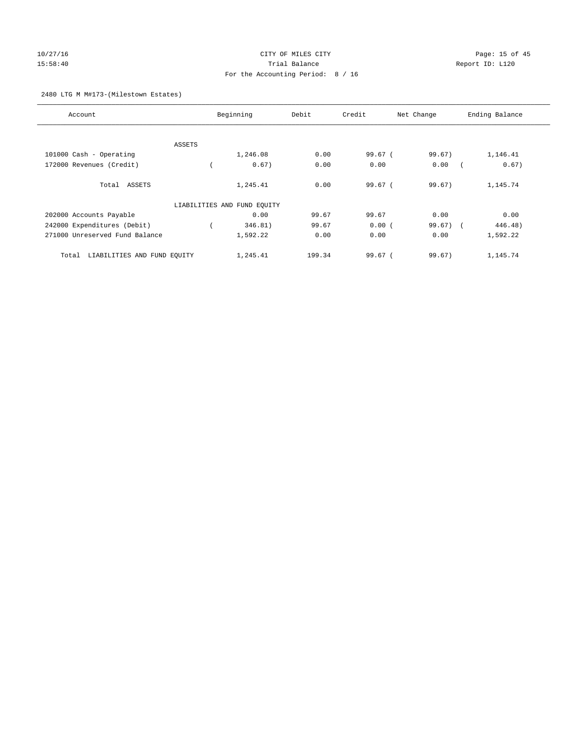# 10/27/16 Page: 15 of 45 15:58:40 Trial Balance Report ID: L120 For the Accounting Period: 8 / 16

#### 2480 LTG M M#173-(Milestown Estates)

| Account                              |        | Beginning                   | Debit  | Credit | Net Change  | Ending Balance |
|--------------------------------------|--------|-----------------------------|--------|--------|-------------|----------------|
|                                      |        |                             |        |        |             |                |
|                                      | ASSETS |                             |        |        |             |                |
| 101000 Cash - Operating              |        | 1,246.08                    | 0.00   | 99.67( | 99.67)      | 1,146.41       |
| 172000 Revenues (Credit)             |        | 0.67)                       | 0.00   | 0.00   | 0.00        | 0.67)          |
| Total ASSETS                         |        | 1,245.41                    | 0.00   | 99.67( | 99.67)      | 1,145.74       |
|                                      |        | LIABILITIES AND FUND EQUITY |        |        |             |                |
| 202000 Accounts Payable              |        | 0.00                        | 99.67  | 99.67  | 0.00        | 0.00           |
| 242000 Expenditures (Debit)          |        | 346.81)                     | 99.67  | 0.00(  | $99.67$ ) ( | 446.48)        |
| 271000 Unreserved Fund Balance       |        | 1,592.22                    | 0.00   | 0.00   | 0.00        | 1,592.22       |
| LIABILITIES AND FUND EQUITY<br>Total |        | 1,245.41                    | 199.34 | 99.67( | 99.67)      | 1,145.74       |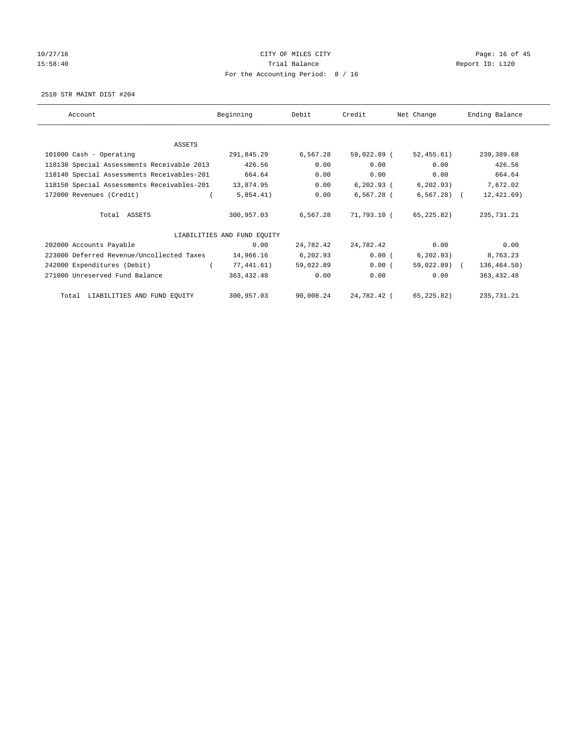# 10/27/16 Page: 16 of 45 15:58:40 **Trial Balance Trial Balance Report ID:** L120 For the Accounting Period: 8 / 16

2510 STR MAINT DIST #204

| Account                                    | Beginning                   | Debit     | Credit        | Net Change    | Ending Balance |
|--------------------------------------------|-----------------------------|-----------|---------------|---------------|----------------|
| ASSETS                                     |                             |           |               |               |                |
| 101000 Cash - Operating                    | 291,845.29                  | 6,567.28  | 59,022.89 (   | 52, 455.61)   | 239,389.68     |
| 118130 Special Assessments Receivable 2013 | 426.56                      | 0.00      | 0.00          | 0.00          | 426.56         |
| 118140 Special Assessments Receivables-201 | 664.64                      | 0.00      | 0.00          | 0.00          | 664.64         |
| 118150 Special Assessments Receivables-201 | 13,874.95                   | 0.00      | $6, 202.93$ ( | 6, 202.93)    | 7,672.02       |
| 172000 Revenues (Credit)                   | 5,854.41)                   | 0.00      | 6,567.28 (    | $6, 567.28$ ( | 12, 421.69)    |
| Total ASSETS                               | 300,957.03                  | 6,567.28  | 71,793.10 (   | 65,225.82)    | 235,731.21     |
|                                            | LIABILITIES AND FUND EQUITY |           |               |               |                |
| 202000 Accounts Payable                    | 0.00                        | 24,782.42 | 24,782.42     | 0.00          | 0.00           |
| 223000 Deferred Revenue/Uncollected Taxes  | 14,966.16                   | 6,202.93  | 0.00(         | 6, 202.93)    | 8,763.23       |
| 242000 Expenditures (Debit)                | 77,441.61)                  | 59,022.89 | 0.00(         | 59,022.89) (  | 136,464.50)    |
| 271000 Unreserved Fund Balance             | 363,432.48                  | 0.00      | 0.00          | 0.00          | 363, 432.48    |
| Total LIABILITIES AND FUND EQUITY          | 300,957.03                  | 90,008.24 | 24,782.42 (   | 65,225.82)    | 235,731.21     |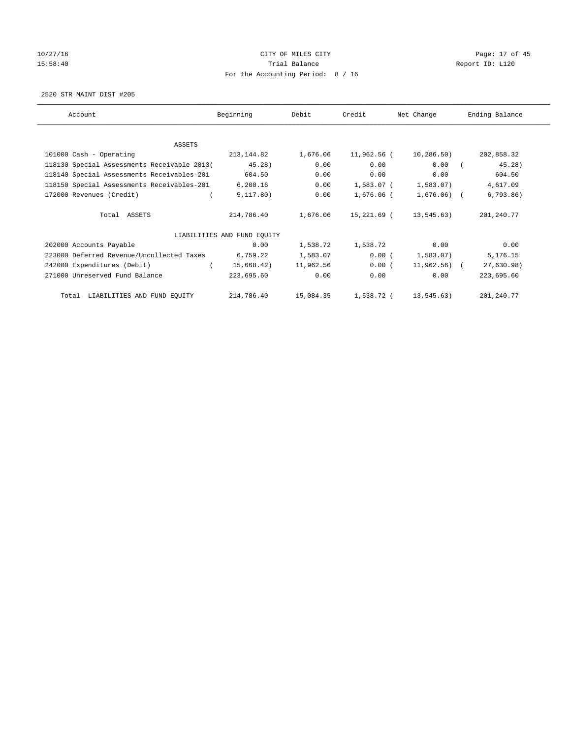# 10/27/16 Page: 17 of 45 15:58:40 **Trial Balance Trial Balance Report ID:** L120 For the Accounting Period: 8 / 16

2520 STR MAINT DIST #205

| Account                                     | Beginning                   | Debit     | Credit      | Net Change     | Ending Balance |
|---------------------------------------------|-----------------------------|-----------|-------------|----------------|----------------|
|                                             |                             |           |             |                |                |
| ASSETS<br>101000 Cash - Operating           | 213,144.82                  | 1,676.06  | 11,962.56 ( | 10,286.50)     | 202,858.32     |
| 118130 Special Assessments Receivable 2013( | 45.28)                      | 0.00      | 0.00        | 0.00           | 45.28)         |
| 118140 Special Assessments Receivables-201  | 604.50                      | 0.00      | 0.00        | 0.00           | 604.50         |
| 118150 Special Assessments Receivables-201  | 6,200.16                    | 0.00      | 1,583.07 (  | 1,583.07)      | 4,617.09       |
| 172000 Revenues (Credit)                    | 5,117.80)                   | 0.00      | 1,676.06 (  | $1,676.06$ ) ( | 6, 793.86)     |
| Total ASSETS                                | 214,786.40                  | 1,676.06  | 15,221.69 ( | 13,545.63)     | 201,240.77     |
|                                             | LIABILITIES AND FUND EQUITY |           |             |                |                |
| 202000 Accounts Payable                     | 0.00                        | 1,538.72  | 1,538.72    | 0.00           | 0.00           |
| 223000 Deferred Revenue/Uncollected Taxes   | 6,759.22                    | 1,583.07  | 0.00(       | 1,583.07)      | 5,176.15       |
| 242000 Expenditures (Debit)                 | 15,668.42)                  | 11,962.56 | $0.00$ (    | $11,962.56$ (  | 27,630.98)     |
| 271000 Unreserved Fund Balance              | 223,695.60                  | 0.00      | 0.00        | 0.00           | 223,695.60     |
| LIABILITIES AND FUND EQUITY<br>Total        | 214,786.40                  | 15,084.35 | 1,538.72 (  | 13,545.63)     | 201,240.77     |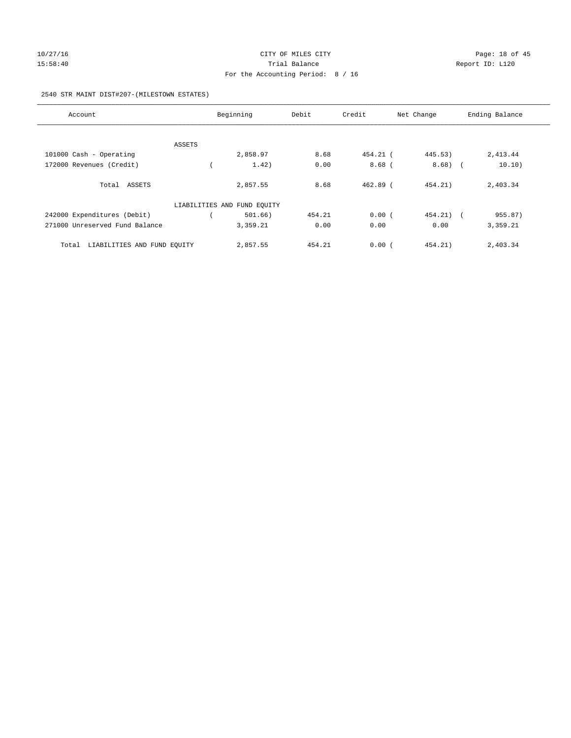# 10/27/16 **Page: 18 of 45** CITY OF MILES CITY **CITY** CITY **Page: 18 of 45** 15:58:40 **Trial Balance Trial Balance Report ID:** L120 For the Accounting Period: 8 / 16

#### 2540 STR MAINT DIST#207-(MILESTOWN ESTATES)

| Account                              |        | Beginning                   | Debit  | Credit     | Net Change   | Ending Balance |
|--------------------------------------|--------|-----------------------------|--------|------------|--------------|----------------|
|                                      | ASSETS |                             |        |            |              |                |
| 101000 Cash - Operating              |        | 2,858.97                    | 8.68   | 454.21 (   | 445.53)      | 2,413.44       |
| 172000 Revenues (Credit)             |        | 1.42)                       | 0.00   | $8.68$ (   | $8.68$ (     | 10.10)         |
| Total ASSETS                         |        | 2,857.55                    | 8.68   | $462.89$ ( | 454.21)      | 2,403.34       |
|                                      |        | LIABILITIES AND FUND EQUITY |        |            |              |                |
| 242000 Expenditures (Debit)          |        | 501.66)                     | 454.21 | 0.00(      | $454.21$ ) ( | 955.87)        |
| 271000 Unreserved Fund Balance       |        | 3,359.21                    | 0.00   | 0.00       | 0.00         | 3,359.21       |
| LIABILITIES AND FUND EQUITY<br>Total |        | 2,857.55                    | 454.21 | 0.00(      | 454.21)      | 2,403.34       |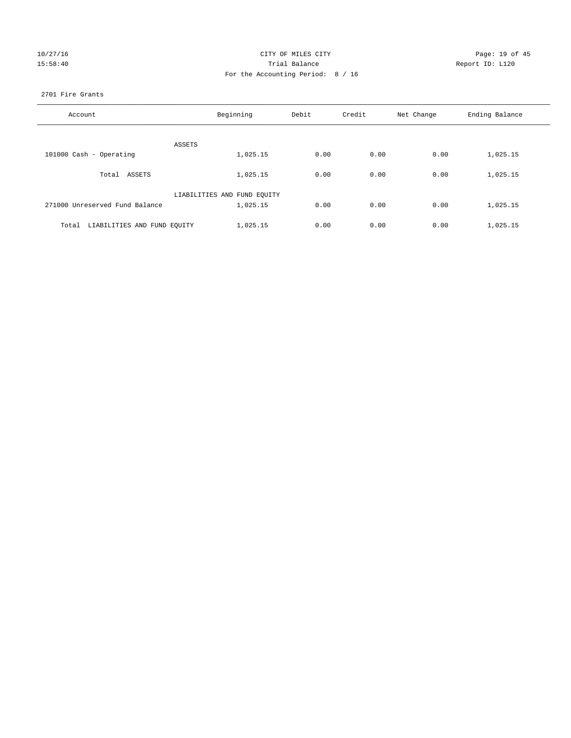| 10/27/16 |  |  |         |
|----------|--|--|---------|
|          |  |  | 50 · 10 |

## CITY OF MILES CITY CONTROL CONTROL CONTROL CITY CONTROL Page: 19 of 45 15:58:40 Trial Balance Trial Balance Report ID: L120 For the Accounting Period: 8 / 16

#### 2701 Fire Grants

| Account                              | Beginning                   | Debit | Credit | Net Change | Ending Balance |
|--------------------------------------|-----------------------------|-------|--------|------------|----------------|
|                                      |                             |       |        |            |                |
|                                      | ASSETS                      |       |        |            |                |
| 101000 Cash - Operating              | 1,025.15                    | 0.00  | 0.00   | 0.00       | 1,025.15       |
| Total ASSETS                         | 1,025.15                    | 0.00  | 0.00   | 0.00       | 1,025.15       |
|                                      | LIABILITIES AND FUND EQUITY |       |        |            |                |
| 271000 Unreserved Fund Balance       | 1,025.15                    | 0.00  | 0.00   | 0.00       | 1,025.15       |
|                                      |                             |       |        |            |                |
| LIABILITIES AND FUND EQUITY<br>Total | 1,025.15                    | 0.00  | 0.00   | 0.00       | 1,025.15       |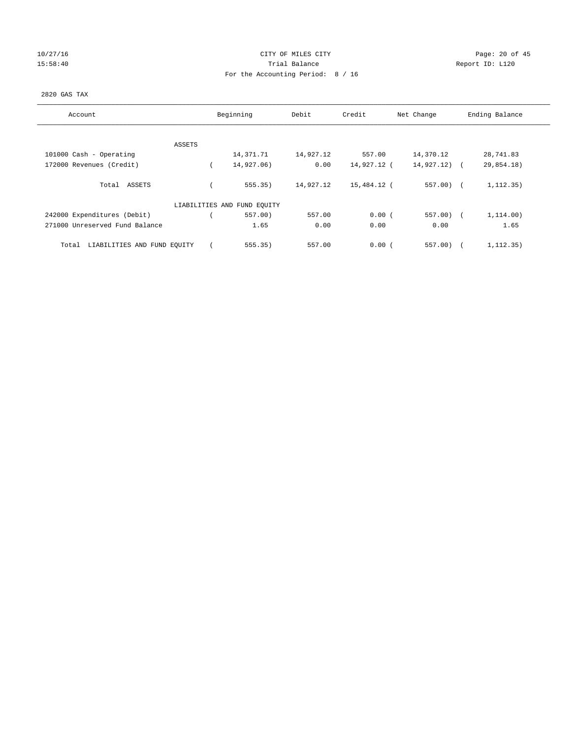## 10/27/16 Page: 20 of 45 15:58:40 **Trial Balance Trial Balance Report ID:** L120 For the Accounting Period: 8 / 16

#### 2820 GAS TAX

| Account                              | Beginning                   | Debit     | Credit      | Net Change  | Ending Balance           |
|--------------------------------------|-----------------------------|-----------|-------------|-------------|--------------------------|
| ASSETS                               |                             |           |             |             |                          |
| 101000 Cash - Operating              | 14,371.71                   | 14,927.12 | 557.00      | 14,370.12   | 28,741.83                |
| 172000 Revenues (Credit)             | 14,927.06)                  | 0.00      | 14,927.12 ( | 14,927.12)  | 29,854.18)<br>$\sqrt{2}$ |
| Total ASSETS                         | 555.35)                     | 14,927.12 | 15,484.12 ( | $557.00$ (  | 1, 112.35)               |
|                                      | LIABILITIES AND FUND EQUITY |           |             |             |                          |
| 242000 Expenditures (Debit)          | $557.00$ )                  | 557.00    | 0.00(       | $557.00)$ ( | 1,114.00)                |
| 271000 Unreserved Fund Balance       | 1.65                        | 0.00      | 0.00        | 0.00        | 1.65                     |
| LIABILITIES AND FUND EQUITY<br>Total | 555.35)                     | 557.00    | 0.00(       | 557.00)     | 1, 112.35)               |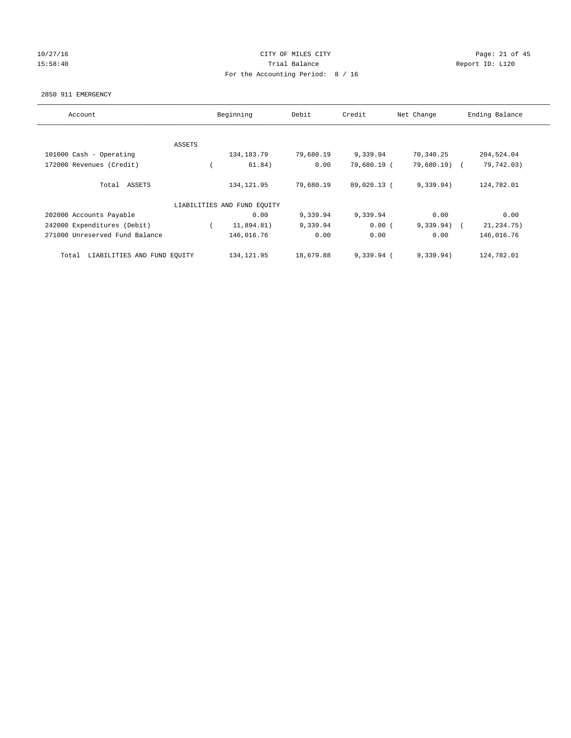## 10/27/16 Page: 21 of 45 15:58:40 **Trial Balance Trial Balance Report ID:** L120 For the Accounting Period: 8 / 16

#### 2850 911 EMERGENCY

| Account                              |        | Beginning                   | Debit     | Credit       | Net Change    | Ending Balance             |
|--------------------------------------|--------|-----------------------------|-----------|--------------|---------------|----------------------------|
|                                      |        |                             |           |              |               |                            |
|                                      | ASSETS |                             |           |              |               |                            |
| 101000 Cash - Operating              |        | 134, 183. 79                | 79,680.19 | 9,339.94     | 70,340.25     | 204,524.04                 |
| 172000 Revenues (Credit)             |        | 61.84)                      | 0.00      | 79,680.19 (  | $79,680.19$ ( | 79,742.03)                 |
| Total ASSETS                         |        | 134, 121.95                 | 79,680.19 | 89,020.13 (  | 9,339.94)     | 124,782.01                 |
|                                      |        | LIABILITIES AND FUND EQUITY |           |              |               |                            |
| 202000 Accounts Payable              |        | 0.00                        | 9,339.94  | 9,339.94     | 0.00          | 0.00                       |
| 242000 Expenditures (Debit)          |        | 11,894.81)                  | 9,339.94  | 0.00(        | 9,339.94)     | 21, 234. 75)<br>$\sqrt{2}$ |
| 271000 Unreserved Fund Balance       |        | 146,016.76                  | 0.00      | 0.00         | 0.00          | 146,016.76                 |
| LIABILITIES AND FUND EQUITY<br>Total |        | 134, 121.95                 | 18,679.88 | $9,339,94$ ( | 9.339.94)     | 124,782.01                 |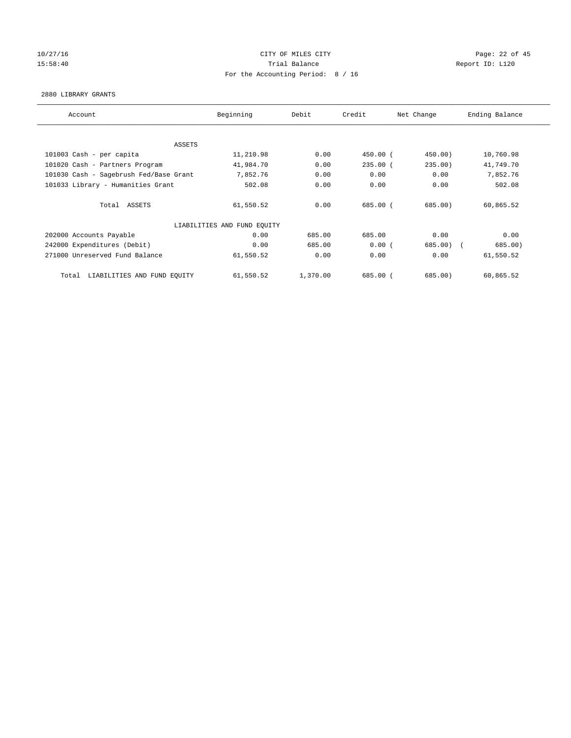# 10/27/16 Page: 22 of 45 15:58:40 **Trial Balance Trial Balance Report ID:** L120 For the Accounting Period: 8 / 16

#### 2880 LIBRARY GRANTS

| Account                                | Beginning                   | Debit    | Credit     | Net Change | Ending Balance |
|----------------------------------------|-----------------------------|----------|------------|------------|----------------|
|                                        |                             |          |            |            |                |
| ASSETS                                 |                             |          |            |            |                |
| 101003 Cash - per capita               | 11,210.98                   | 0.00     | 450.00 (   | 450.00)    | 10,760.98      |
| 101020 Cash - Partners Program         | 41,984.70                   | 0.00     | $235.00$ ( | 235.00     | 41,749.70      |
| 101030 Cash - Sagebrush Fed/Base Grant | 7,852.76                    | 0.00     | 0.00       | 0.00       | 7,852.76       |
| 101033 Library - Humanities Grant      | 502.08                      | 0.00     | 0.00       | 0.00       | 502.08         |
| Total ASSETS                           | 61,550.52                   | 0.00     | 685.00 (   | 685.00)    | 60,865.52      |
|                                        | LIABILITIES AND FUND EQUITY |          |            |            |                |
| 202000 Accounts Payable                | 0.00                        | 685.00   | 685.00     | 0.00       | 0.00           |
| 242000 Expenditures (Debit)            | 0.00                        | 685.00   | 0.00(      | $685.00$ ( | 685.00)        |
| 271000 Unreserved Fund Balance         | 61,550.52                   | 0.00     | 0.00       | 0.00       | 61,550.52      |
| LIABILITIES AND FUND EQUITY<br>Total   | 61,550.52                   | 1,370.00 | 685.00(    | 685.00)    | 60,865.52      |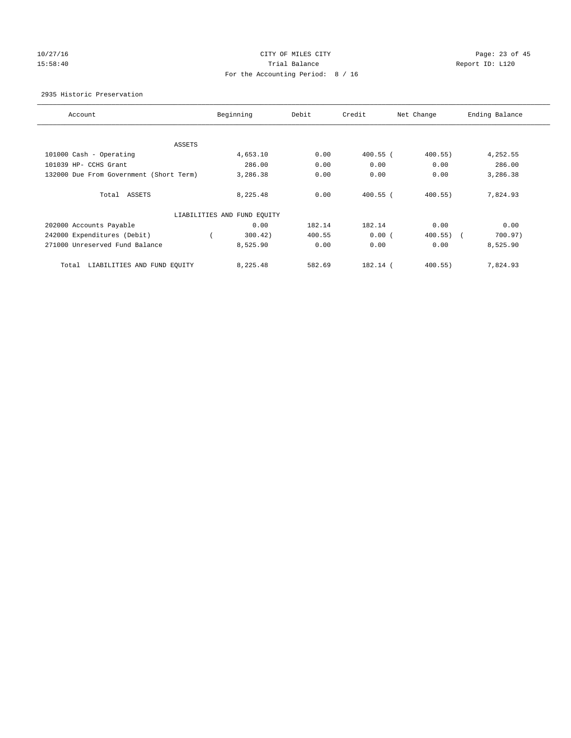## 10/27/16 Page: 23 of 45 15:58:40 **Trial Balance Trial Balance Report ID:** L120 For the Accounting Period: 8 / 16

#### 2935 Historic Preservation

| Account                                 | Beginning                   | Debit  | Credit     | Net Change | Ending Balance |
|-----------------------------------------|-----------------------------|--------|------------|------------|----------------|
|                                         |                             |        |            |            |                |
| ASSETS                                  |                             |        |            |            |                |
| 101000 Cash - Operating                 | 4,653.10                    | 0.00   | $400.55$ ( | 400.55)    | 4,252.55       |
| 101039 HP- CCHS Grant                   | 286.00                      | 0.00   | 0.00       | 0.00       | 286.00         |
| 132000 Due From Government (Short Term) | 3,286.38                    | 0.00   | 0.00       | 0.00       | 3,286.38       |
| Total ASSETS                            | 8,225.48                    | 0.00   | $400.55$ ( | $400.55$ ) | 7,824.93       |
|                                         | LIABILITIES AND FUND EQUITY |        |            |            |                |
| 202000 Accounts Payable                 | 0.00                        | 182.14 | 182.14     | 0.00       | 0.00           |
| 242000 Expenditures (Debit)             | 300.42)                     | 400.55 | 0.00(      | 400.55)    | 700.97)        |
| 271000 Unreserved Fund Balance          | 8,525.90                    | 0.00   | 0.00       | 0.00       | 8,525.90       |
| LIABILITIES AND FUND EQUITY<br>Total    | 8,225.48                    | 582.69 | 182.14 (   | $400.55$ ) | 7,824.93       |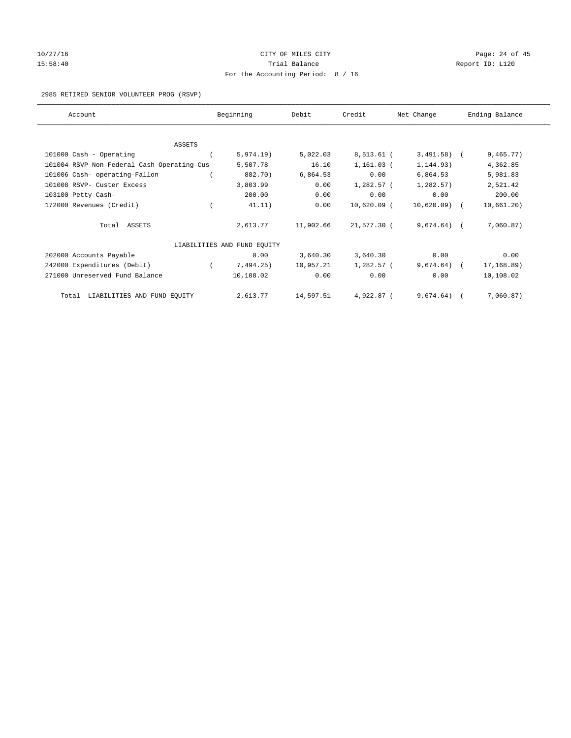# 10/27/16 Page: 24 of 45 15:58:40 **Trial Balance Trial Balance Report ID:** L120 For the Accounting Period: 8 / 16

#### 2985 RETIRED SENIOR VOLUNTEER PROG (RSVP)

| Account                                    | Beginning                   | Debit     | Credit      | Net Change    | Ending Balance |
|--------------------------------------------|-----------------------------|-----------|-------------|---------------|----------------|
|                                            |                             |           |             |               |                |
| <b>ASSETS</b>                              |                             |           |             |               |                |
| 101000 Cash - Operating                    | 5,974.19)                   | 5,022.03  | 8,513.61 (  | $3,491.58$ (  | 9,465.77)      |
| 101004 RSVP Non-Federal Cash Operating-Cus | 5,507.78                    | 16.10     | 1,161.03 (  | 1,144.93)     | 4,362.85       |
| 101006 Cash- operating-Fallon              | 882.70)                     | 6,864.53  | 0.00        | 6,864.53      | 5,981.83       |
| 101008 RSVP- Custer Excess                 | 3,803.99                    | 0.00      | 1,282.57 (  | 1,282.57)     | 2,521.42       |
| 103100 Petty Cash-                         | 200.00                      | 0.00      | 0.00        | 0.00          | 200.00         |
| 172000 Revenues (Credit)                   | 41.11)                      | 0.00      | 10,620.09 ( | $10,620.09$ ( | 10,661.20)     |
| Total ASSETS                               | 2,613.77                    | 11,902.66 | 21,577.30 ( | $9,674.64$ (  | 7,060.87)      |
|                                            | LIABILITIES AND FUND EQUITY |           |             |               |                |
| 202000 Accounts Payable                    | 0.00                        | 3,640.30  | 3,640.30    | 0.00          | 0.00           |
| 242000 Expenditures (Debit)                | 7,494.25)                   | 10,957.21 | 1,282.57 (  | $9,674.64$ (  | 17,168.89)     |
| 271000 Unreserved Fund Balance             | 10,108.02                   | 0.00      | 0.00        | 0.00          | 10,108.02      |
| Total LIABILITIES AND FUND EQUITY          | 2,613.77                    | 14,597.51 | 4,922.87 (  | $9,674.64)$ ( | 7,060.87)      |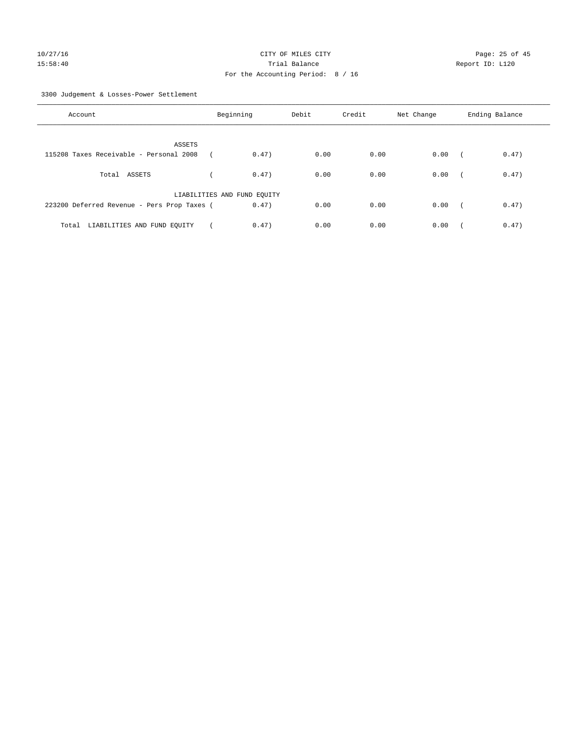3300 Judgement & Losses-Power Settlement

| Account                                     | Beginning                   |       | Debit | Credit | Net Change | Ending Balance |       |
|---------------------------------------------|-----------------------------|-------|-------|--------|------------|----------------|-------|
| ASSETS                                      |                             |       |       |        |            |                |       |
| 115208 Taxes Receivable - Personal 2008     |                             | 0.47) | 0.00  | 0.00   | 0.00       | $\sqrt{2}$     | 0.47) |
| Total ASSETS                                |                             | 0.47) | 0.00  | 0.00   | 0.00       | $\sqrt{2}$     | 0.47) |
|                                             | LIABILITIES AND FUND EQUITY |       |       |        |            |                |       |
| 223200 Deferred Revenue - Pers Prop Taxes ( |                             | 0.47) | 0.00  | 0.00   | 0.00       | $\sim$         | 0.47) |
| LIABILITIES AND FUND EQUITY<br>Total        |                             | 0.47) | 0.00  | 0.00   | 0.00       |                | 0.47) |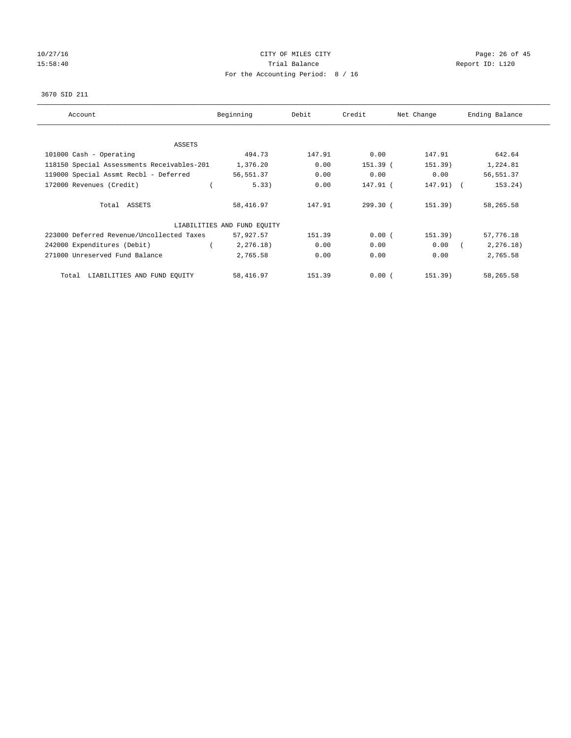# 10/27/16 Page: 26 of 45 15:58:40 **Trial Balance Trial Balance Report ID:** L120 For the Accounting Period: 8 / 16

#### 3670 SID 211

| Account                                    | Beginning                   | Debit  | Credit     | Net Change | Ending Balance |
|--------------------------------------------|-----------------------------|--------|------------|------------|----------------|
| ASSETS                                     |                             |        |            |            |                |
| 101000 Cash - Operating                    | 494.73                      | 147.91 | 0.00       | 147.91     | 642.64         |
| 118150 Special Assessments Receivables-201 | 1,376.20                    | 0.00   | 151.39 (   | 151.39)    | 1,224.81       |
| 119000 Special Assmt Recbl - Deferred      | 56,551.37                   | 0.00   | 0.00       | 0.00       | 56,551.37      |
| 172000 Revenues (Credit)                   | 5.33)                       | 0.00   | 147.91 (   | 147.91) (  | 153.24)        |
| Total ASSETS                               | 58,416.97                   | 147.91 | $299.30$ ( | 151.39)    | 58,265.58      |
|                                            | LIABILITIES AND FUND EQUITY |        |            |            |                |
| 223000 Deferred Revenue/Uncollected Taxes  | 57,927.57                   | 151.39 | 0.00(      | 151.39)    | 57,776.18      |
| 242000 Expenditures (Debit)                | 2, 276.18)                  | 0.00   | 0.00       | 0.00       | 2, 276.18)     |
| 271000 Unreserved Fund Balance             | 2,765.58                    | 0.00   | 0.00       | 0.00       | 2,765.58       |
| LIABILITIES AND FUND EQUITY<br>Total       | 58,416.97                   | 151.39 | 0.00(      | 151.39)    | 58,265.58      |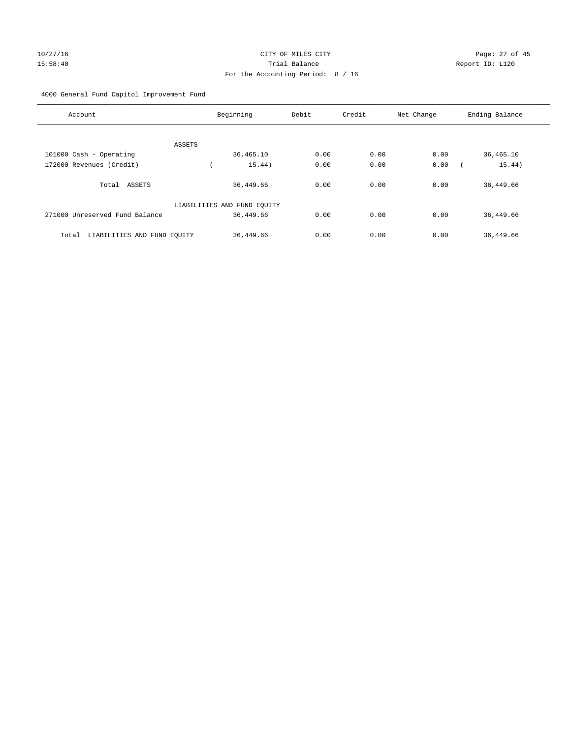# 10/27/16 Page: 27 of 45 15:58:40 Trial Balance Report ID: L120 For the Accounting Period: 8 / 16

4000 General Fund Capitol Improvement Fund

| Account                              | Beginning                   | Debit | Credit | Net Change | Ending Balance |
|--------------------------------------|-----------------------------|-------|--------|------------|----------------|
| ASSETS                               |                             |       |        |            |                |
| 101000 Cash - Operating              | 36,465.10                   | 0.00  | 0.00   | 0.00       | 36,465.10      |
| 172000 Revenues (Credit)             | 15.44)                      | 0.00  | 0.00   | 0.00       | 15.44)         |
| Total ASSETS                         | 36,449.66                   | 0.00  | 0.00   | 0.00       | 36, 449.66     |
|                                      | LIABILITIES AND FUND EQUITY |       |        |            |                |
| 271000 Unreserved Fund Balance       | 36,449.66                   | 0.00  | 0.00   | 0.00       | 36, 449.66     |
| LIABILITIES AND FUND EQUITY<br>Total | 36,449.66                   | 0.00  | 0.00   | 0.00       | 36,449.66      |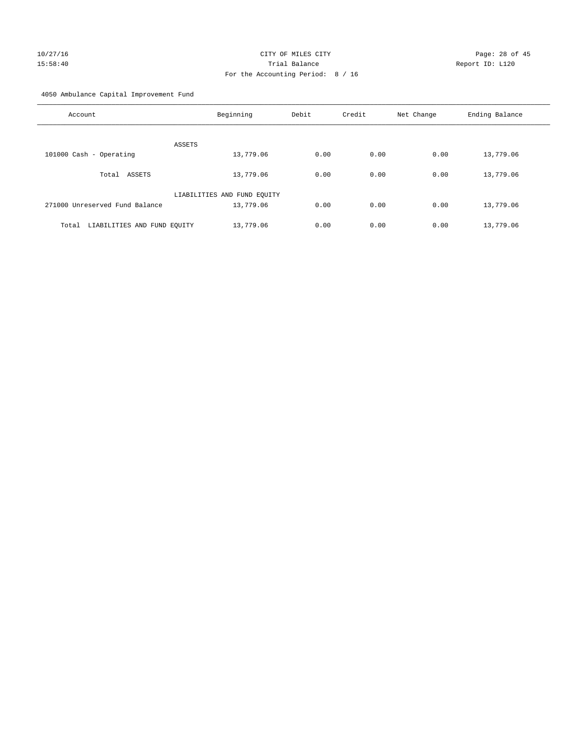# 10/27/16 Page: 28 of 45 15:58:40 Trial Balance Report ID: L120 For the Accounting Period: 8 / 16

4050 Ambulance Capital Improvement Fund

| Account                              | Beginning                   | Debit | Credit | Net Change | Ending Balance |
|--------------------------------------|-----------------------------|-------|--------|------------|----------------|
| <b>ASSETS</b>                        |                             |       |        |            |                |
| 101000 Cash - Operating              | 13,779.06                   | 0.00  | 0.00   | 0.00       | 13,779.06      |
| Total ASSETS                         | 13,779.06                   | 0.00  | 0.00   | 0.00       | 13,779.06      |
|                                      | LIABILITIES AND FUND EQUITY |       |        |            |                |
| 271000 Unreserved Fund Balance       | 13,779.06                   | 0.00  | 0.00   | 0.00       | 13,779.06      |
| LIABILITIES AND FUND EQUITY<br>Total | 13,779.06                   | 0.00  | 0.00   | 0.00       | 13,779.06      |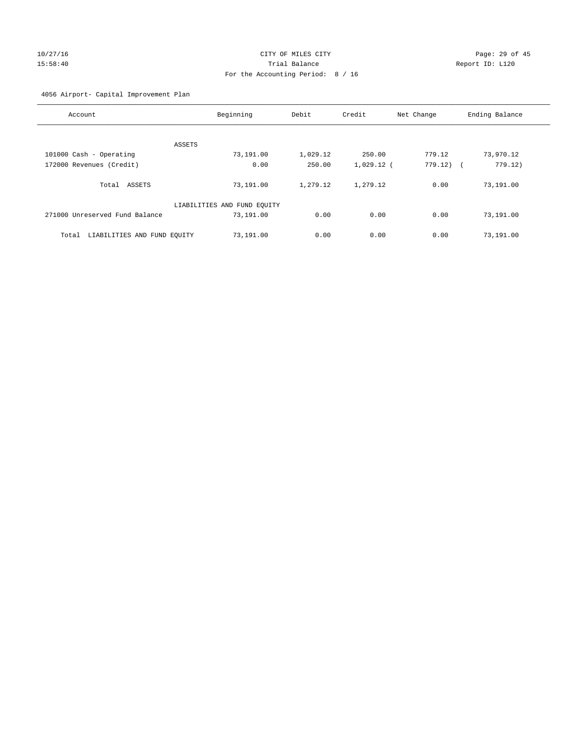# 10/27/16 Page: 29 of 45 15:58:40 Trial Balance Report ID: L120 For the Accounting Period: 8 / 16

4056 Airport- Capital Improvement Plan

| Account                              | Beginning                   | Debit    | Credit       | Net Change        | Ending Balance |
|--------------------------------------|-----------------------------|----------|--------------|-------------------|----------------|
|                                      |                             |          |              |                   |                |
| ASSETS                               |                             |          |              |                   |                |
| 101000 Cash - Operating              | 73,191.00                   | 1,029.12 | 250.00       | 779.12            | 73,970.12      |
| 172000 Revenues (Credit)             | 0.00                        | 250.00   | $1,029.12$ ( | 779.12)<br>$\sim$ | 779.12)        |
|                                      |                             |          |              |                   |                |
| Total ASSETS                         | 73,191.00                   | 1,279.12 | 1,279.12     | 0.00              | 73,191.00      |
|                                      | LIABILITIES AND FUND EQUITY |          |              |                   |                |
| 271000 Unreserved Fund Balance       | 73,191.00                   | 0.00     | 0.00         | 0.00              | 73,191.00      |
| LIABILITIES AND FUND EQUITY<br>Total | 73,191.00                   | 0.00     | 0.00         | 0.00              | 73,191.00      |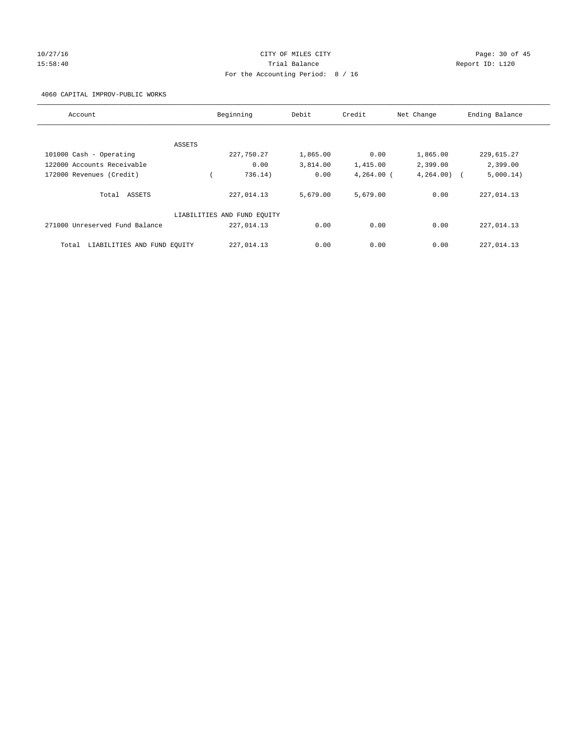# 10/27/16 Page: 30 of 45 15:58:40 Trial Balance Report ID: L120 For the Accounting Period: 8 / 16

4060 CAPITAL IMPROV-PUBLIC WORKS

| Account                              | Beginning                   | Debit    | Credit       | Net Change   | Ending Balance |
|--------------------------------------|-----------------------------|----------|--------------|--------------|----------------|
|                                      |                             |          |              |              |                |
| ASSETS                               |                             |          |              |              |                |
| 101000 Cash - Operating              | 227,750.27                  | 1,865.00 | 0.00         | 1,865.00     | 229,615.27     |
| 122000 Accounts Receivable           | 0.00                        | 3,814.00 | 1,415.00     | 2,399.00     | 2,399.00       |
| 172000 Revenues (Credit)             | 736.14)                     | 0.00     | $4,264.00$ ( | $4,264.00$ ( | 5,000.14)      |
| Total ASSETS                         | 227,014.13                  | 5,679.00 | 5,679.00     | 0.00         | 227,014.13     |
|                                      | LIABILITIES AND FUND EQUITY |          |              |              |                |
| 271000 Unreserved Fund Balance       | 227,014.13                  | 0.00     | 0.00         | 0.00         | 227,014.13     |
| LIABILITIES AND FUND EQUITY<br>Total | 227,014.13                  | 0.00     | 0.00         | 0.00         | 227,014.13     |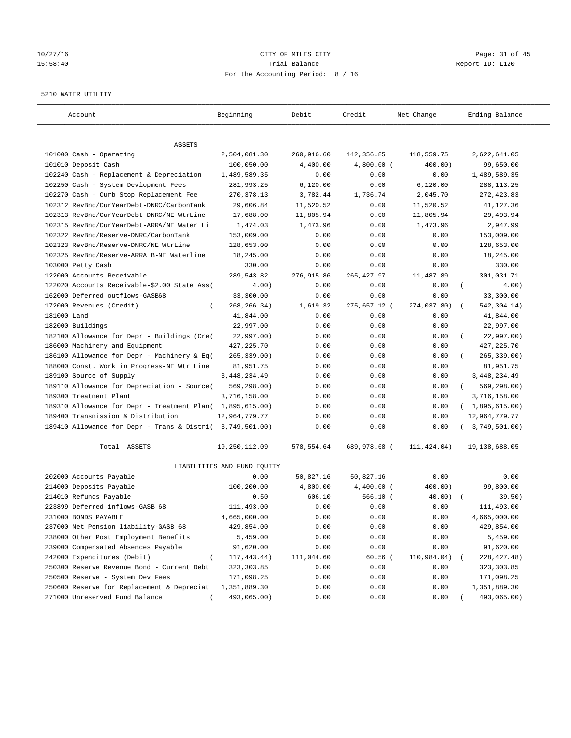## 10/27/16 Page: 31 of 45 15:58:40 Trial Balance Report ID: L120 For the Accounting Period: 8 / 16

#### 5210 WATER UTILITY

| Account                                                   | Beginning                   | Debit      | Credit       | Net Change   | Ending Balance          |
|-----------------------------------------------------------|-----------------------------|------------|--------------|--------------|-------------------------|
| ASSETS                                                    |                             |            |              |              |                         |
| 101000 Cash - Operating                                   | 2,504,081.30                | 260,916.60 | 142,356.85   | 118,559.75   | 2,622,641.05            |
| 101010 Deposit Cash                                       | 100,050.00                  | 4,400.00   | $4,800.00$ ( | 400.00)      | 99,650.00               |
| 102240 Cash - Replacement & Depreciation                  | 1,489,589.35                | 0.00       | 0.00         | 0.00         | 1,489,589.35            |
| 102250 Cash - System Devlopment Fees                      | 281,993.25                  | 6,120.00   | 0.00         | 6,120.00     | 288,113.25              |
| 102270 Cash - Curb Stop Replacement Fee                   | 270,378.13                  | 3,782.44   | 1,736.74     | 2,045.70     | 272, 423.83             |
| 102312 RevBnd/CurYearDebt-DNRC/CarbonTank                 | 29,606.84                   | 11,520.52  | 0.00         | 11,520.52    | 41,127.36               |
| 102313 RevBnd/CurYearDebt-DNRC/NE WtrLine                 | 17,688.00                   | 11,805.94  | 0.00         | 11,805.94    | 29, 493.94              |
| 102315 RevBnd/CurYearDebt-ARRA/NE Water Li                | 1,474.03                    | 1,473.96   | 0.00         | 1,473.96     | 2,947.99                |
| 102322 RevBnd/Reserve-DNRC/CarbonTank                     | 153,009.00                  | 0.00       | 0.00         | 0.00         | 153,009.00              |
| 102323 RevBnd/Reserve-DNRC/NE WtrLine                     | 128,653.00                  | 0.00       | 0.00         | 0.00         | 128,653.00              |
| 102325 RevBnd/Reserve-ARRA B-NE Waterline                 | 18,245.00                   | 0.00       | 0.00         | 0.00         | 18,245.00               |
| 103000 Petty Cash                                         | 330.00                      | 0.00       | 0.00         | 0.00         | 330.00                  |
| 122000 Accounts Receivable                                | 289,543.82                  | 276,915.86 | 265, 427.97  | 11,487.89    | 301,031.71              |
| 122020 Accounts Receivable-\$2.00 State Ass(              | 4.00)                       | 0.00       | 0.00         | 0.00         | $\left($<br>4.00)       |
| 162000 Deferred outflows-GASB68                           | 33,300.00                   | 0.00       | 0.00         | 0.00         | 33,300.00               |
| 172000 Revenues (Credit)                                  | 268, 266. 34)               | 1,619.32   | 275,657.12 ( | 274,037.80)  | 542, 304.14)            |
| 181000 Land                                               | 41,844.00                   | 0.00       | 0.00         | 0.00         | 41,844.00               |
| 182000 Buildings                                          | 22,997.00                   | 0.00       | 0.00         | 0.00         | 22,997.00               |
| 182100 Allowance for Depr - Buildings (Cre(               | 22,997.00)                  | 0.00       | 0.00         | 0.00         | 22,997.00)<br>$\left($  |
| 186000 Machinery and Equipment                            | 427, 225. 70                | 0.00       | 0.00         | 0.00         | 427, 225.70             |
| 186100 Allowance for Depr - Machinery & Eq(               | $265, 339.00$ )             | 0.00       | 0.00         | 0.00         | 265, 339.00)            |
| 188000 Const. Work in Progress-NE Wtr Line                | 81,951.75                   | 0.00       | 0.00         | 0.00         | 81,951.75               |
| 189100 Source of Supply                                   | 3, 448, 234.49              | 0.00       | 0.00         | 0.00         | 3, 448, 234.49          |
| 189110 Allowance for Depreciation - Source(               | 569, 298.00)                | 0.00       | 0.00         | 0.00         | 569,298.00)<br>$\left($ |
| 189300 Treatment Plant                                    | 3,716,158.00                | 0.00       | 0.00         | 0.00         | 3,716,158.00            |
| 189310 Allowance for Depr - Treatment Plan(               | 1,895,615.00)               | 0.00       | 0.00         | 0.00         | (1,895,615.00)          |
| 189400 Transmission & Distribution                        | 12,964,779.77               | 0.00       | 0.00         | 0.00         | 12,964,779.77           |
| 189410 Allowance for Depr - Trans & Distri( 3,749,501.00) |                             | 0.00       | 0.00         | 0.00         | 3,749,501.00)           |
| Total ASSETS                                              | 19,250,112.09               | 578,554.64 | 689,978.68 ( | 111, 424.04) | 19,138,688.05           |
|                                                           | LIABILITIES AND FUND EQUITY |            |              |              |                         |
| 202000 Accounts Payable                                   | 0.00                        | 50,827.16  | 50,827.16    | 0.00         | 0.00                    |
| 214000 Deposits Payable                                   | 100,200.00                  | 4,800.00   | $4,400.00$ ( | 400.00)      | 99,800.00               |
| 214010 Refunds Payable                                    | 0.50                        | 606.10     | 566.10(      | 40.00)       | 39.50)                  |
| 223899 Deferred inflows-GASB 68                           | 111,493.00                  | 0.00       | 0.00         | 0.00         | 111,493.00              |
| 231000 BONDS PAYABLE                                      | 4,665,000.00                | 0.00       | 0.00         | 0.00         | 4,665,000.00            |
| 237000 Net Pension liability-GASB 68                      | 429,854.00                  | 0.00       | 0.00         | 0.00         | 429,854.00              |
| 238000 Other Post Employment Benefits                     | 5,459.00                    | 0.00       | 0.00         | 0.00         | 5,459.00                |
| 239000 Compensated Absences Payable                       | 91,620.00                   | 0.00       | 0.00         | 0.00         | 91,620.00               |
| 242000 Expenditures (Debit)                               | 117,443.44)                 | 111,044.60 | $60.56$ (    | 110,984.04)  | 228,427.48)             |
| 250300 Reserve Revenue Bond - Current Debt                | 323, 303.85                 | 0.00       | 0.00         | 0.00         | 323, 303.85             |
| 250500 Reserve - System Dev Fees                          | 171,098.25                  | 0.00       | 0.00         | 0.00         | 171,098.25              |
| 250600 Reserve for Replacement & Depreciat                | 1,351,889.30                | 0.00       | 0.00         | 0.00         | 1,351,889.30            |
| 271000 Unreserved Fund Balance                            | 493,065.00)                 | 0.00       | 0.00         | 0.00         | 493,065.00)             |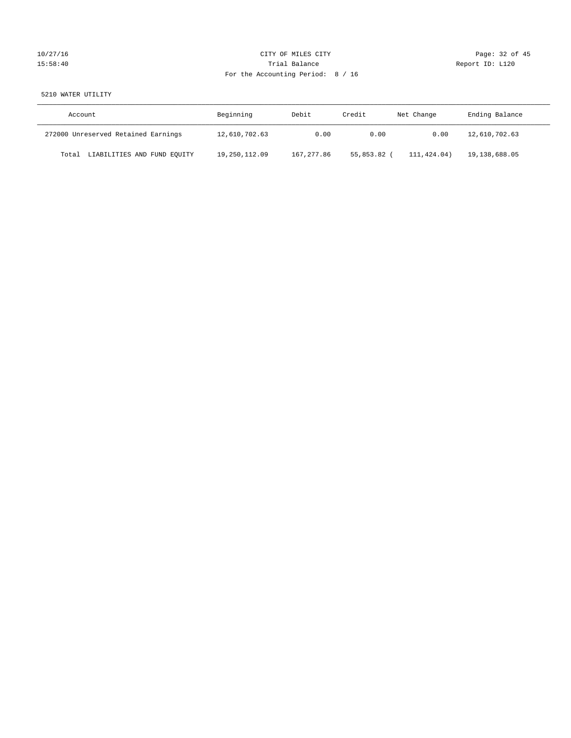| 10/27/16 |  |
|----------|--|
| 15:58:40 |  |

# CITY OF MILES CITY CONTROL CONTROL CONTROL CITY CONTROL Page: 32 of 45 15:58:40 Trial Balance Trial Balance Report ID: L120 For the Accounting Period: 8 / 16

# 5210 WATER UTILITY

| Account                             | Beginning     | Debit      | Credit    | Net Change  | Ending Balance |
|-------------------------------------|---------------|------------|-----------|-------------|----------------|
| 272000 Unreserved Retained Earnings | 12,610,702.63 | 0.00       | 0.00      | 0.00        | 12,610,702.63  |
| Total LIABILITIES AND FUND EQUITY   | 19,250,112.09 | 167,277.86 | 55,853.82 | 111,424.04) | 19,138,688.05  |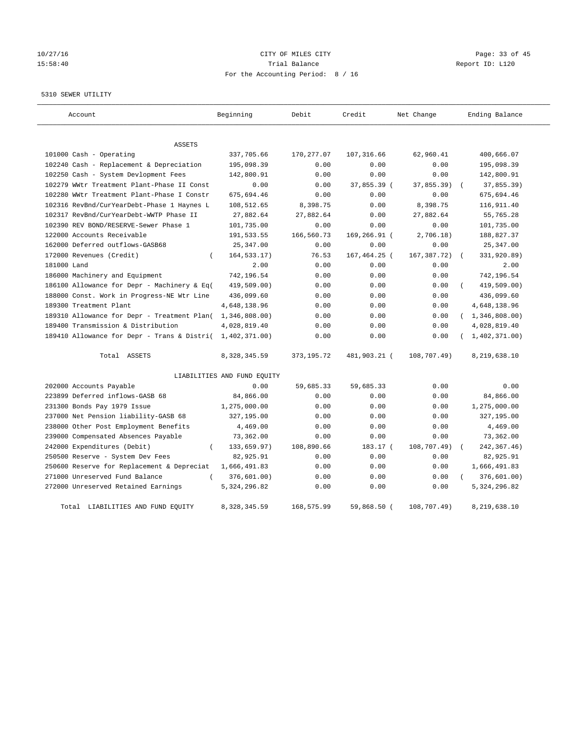# 10/27/16 Page: 33 of 45 15:58:40 Trial Balance Report ID: L120 For the Accounting Period: 8 / 16

#### 5310 SEWER UTILITY

| Account                                     | Beginning                   | Debit       | Credit       | Net Change    | Ending Balance   |
|---------------------------------------------|-----------------------------|-------------|--------------|---------------|------------------|
| ASSETS                                      |                             |             |              |               |                  |
| 101000 Cash - Operating                     | 337,705.66                  | 170,277.07  | 107,316.66   | 62,960.41     | 400,666.07       |
| 102240 Cash - Replacement & Depreciation    | 195,098.39                  | 0.00        | 0.00         | 0.00          | 195,098.39       |
| 102250 Cash - System Devlopment Fees        | 142,800.91                  | 0.00        | 0.00         | 0.00          | 142,800.91       |
| 102279 WWtr Treatment Plant-Phase II Const  | 0.00                        | 0.00        | 37,855.39 (  | 37,855.39)    | 37,855.39)       |
| 102280 WWtr Treatment Plant-Phase I Constr  | 675,694.46                  | 0.00        | 0.00         | 0.00          | 675,694.46       |
| 102316 RevBnd/CurYearDebt-Phase 1 Haynes L  | 108,512.65                  | 8,398.75    | 0.00         | 8,398.75      | 116,911.40       |
| 102317 RevBnd/CurYearDebt-WWTP Phase II     | 27,882.64                   | 27,882.64   | 0.00         | 27,882.64     | 55,765.28        |
| 102390 REV BOND/RESERVE-Sewer Phase 1       | 101,735.00                  | 0.00        | 0.00         | 0.00          | 101,735.00       |
| 122000 Accounts Receivable                  | 191,533.55                  | 166,560.73  | 169,266.91 ( | 2,706.18)     | 188,827.37       |
| 162000 Deferred outflows-GASB68             | 25,347.00                   | 0.00        | 0.00         | 0.00          | 25, 347.00       |
| 172000 Revenues (Credit)<br>$\left($        | 164, 533. 17)               | 76.53       | 167,464.25 ( | 167, 387. 72) | 331,920.89)      |
| 181000 Land                                 | 2.00                        | 0.00        | 0.00         | 0.00          | 2.00             |
| 186000 Machinery and Equipment              | 742,196.54                  | 0.00        | 0.00         | 0.00          | 742,196.54       |
| 186100 Allowance for Depr - Machinery & Eq( | 419,509.00)                 | 0.00        | 0.00         | 0.00          | 419,509.00)      |
| 188000 Const. Work in Progress-NE Wtr Line  | 436,099.60                  | 0.00        | 0.00         | 0.00          | 436,099.60       |
| 189300 Treatment Plant                      | 4,648,138.96                | 0.00        | 0.00         | 0.00          | 4,648,138.96     |
| 189310 Allowance for Depr - Treatment Plan( | 1,346,808.00)               | 0.00        | 0.00         | 0.00          | (1, 346, 808.00) |
| 189400 Transmission & Distribution          | 4,028,819.40                | 0.00        | 0.00         | 0.00          | 4,028,819.40     |
| 189410 Allowance for Depr - Trans & Distri( | 1,402,371.00)               | 0.00        | 0.00         | 0.00          | (1, 402, 371.00) |
| Total ASSETS                                | 8, 328, 345.59              | 373, 195.72 | 481,903.21 ( | 108,707.49)   | 8,219,638.10     |
|                                             | LIABILITIES AND FUND EQUITY |             |              |               |                  |
| 202000 Accounts Payable                     | 0.00                        | 59,685.33   | 59,685.33    | 0.00          | 0.00             |
| 223899 Deferred inflows-GASB 68             | 84,866.00                   | 0.00        | 0.00         | 0.00          | 84,866.00        |
| 231300 Bonds Pay 1979 Issue                 | 1,275,000.00                | 0.00        | 0.00         | 0.00          | 1,275,000.00     |
| 237000 Net Pension liability-GASB 68        | 327,195.00                  | 0.00        | 0.00         | 0.00          | 327,195.00       |
| 238000 Other Post Employment Benefits       | 4,469.00                    | 0.00        | 0.00         | 0.00          | 4,469.00         |
| 239000 Compensated Absences Payable         | 73,362.00                   | 0.00        | 0.00         | 0.00          | 73,362.00        |
| 242000 Expenditures (Debit)<br>$\left($     | 133,659.97)                 | 108,890.66  | 183.17 (     | 108,707.49)   | 242, 367.46)     |
| 250500 Reserve - System Dev Fees            | 82,925.91                   | 0.00        | 0.00         | 0.00          | 82,925.91        |
| 250600 Reserve for Replacement & Depreciat  | 1,666,491.83                | 0.00        | 0.00         | 0.00          | 1,666,491.83     |
| 271000 Unreserved Fund Balance<br>$\left($  | 376,601.00)                 | 0.00        | 0.00         | 0.00          | 376,601.00)      |
| 272000 Unreserved Retained Earnings         | 5, 324, 296.82              | 0.00        | 0.00         | 0.00          | 5,324,296.82     |
| LIABILITIES AND FUND EQUITY<br>Total        | 8,328,345.59                | 168,575.99  | 59,868.50 (  | 108,707.49)   | 8,219,638.10     |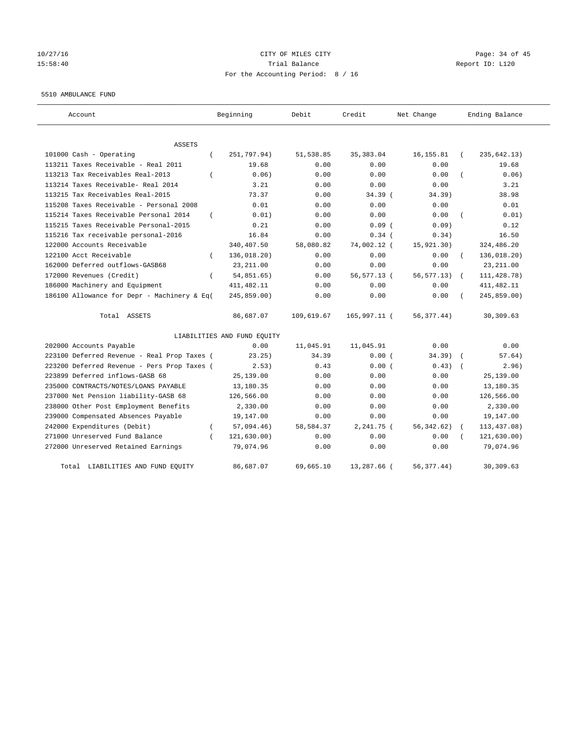# 10/27/16 Page: 34 of 45 15:58:40 Trial Balance Report ID: L120 For the Accounting Period: 8 / 16

#### 5510 AMBULANCE FUND

| Account                                     | Beginning                   | Debit      | Credit       | Net Change   | Ending Balance |
|---------------------------------------------|-----------------------------|------------|--------------|--------------|----------------|
| <b>ASSETS</b>                               |                             |            |              |              |                |
| 101000 Cash - Operating                     | 251,797.94)<br>$\left($     | 51,538.85  | 35, 383.04   | 16, 155.81   | 235,642.13)    |
| 113211 Taxes Receivable - Real 2011         | 19.68                       | 0.00       | 0.00         | 0.00         | 19.68          |
| 113213 Tax Receivables Real-2013            | 0.06)<br>$\left($           | 0.00       | 0.00         | 0.00         | 0.06)          |
| 113214 Taxes Receivable- Real 2014          | 3.21                        | 0.00       | 0.00         | 0.00         | 3.21           |
| 113215 Tax Receivables Real-2015            | 73.37                       | 0.00       | 34.39(       | 34.39)       | 38.98          |
| 115208 Taxes Receivable - Personal 2008     | 0.01                        | 0.00       | 0.00         | 0.00         | 0.01           |
| 115214 Taxes Receivable Personal 2014       | 0.01)<br>$\left($           | 0.00       | 0.00         | 0.00         | 0.01)          |
| 115215 Taxes Receivable Personal-2015       | 0.21                        | 0.00       | 0.09(        | 0.09         | 0.12           |
| 115216 Tax receivable personal-2016         | 16.84                       | 0.00       | $0.34$ (     | 0.34)        | 16.50          |
| 122000 Accounts Receivable                  | 340,407.50                  | 58,080.82  | 74,002.12 (  | 15, 921, 30) | 324,486.20     |
| 122100 Acct Receivable                      | 136,018.20)<br>$\left($     | 0.00       | 0.00         | 0.00         | 136,018.20)    |
| 162000 Deferred outflows-GASB68             | 23, 211.00                  | 0.00       | 0.00         | 0.00         | 23, 211.00     |
| 172000 Revenues (Credit)                    | 54,851.65)                  | 0.00       | 56,577.13 (  | 56, 577.13)  | 111, 428.78)   |
| 186000 Machinery and Equipment              | 411,482.11                  | 0.00       | 0.00         | 0.00         | 411, 482.11    |
| 186100 Allowance for Depr - Machinery & Eq( | 245,859.00)                 | 0.00       | 0.00         | 0.00         | 245,859.00)    |
| Total ASSETS                                | 86,687.07                   | 109,619.67 | 165,997.11 ( | 56, 377.44)  | 30,309.63      |
|                                             | LIABILITIES AND FUND EQUITY |            |              |              |                |
| 202000 Accounts Payable                     | 0.00                        | 11,045.91  | 11,045.91    | 0.00         | 0.00           |
| 223100 Deferred Revenue - Real Prop Taxes ( | 23.25)                      | 34.39      | 0.00(        | $34.39$ (    | 57.64)         |
| 223200 Deferred Revenue - Pers Prop Taxes ( | 2.53)                       | 0.43       | 0.00(        | 0.43)        | 2.96)          |
| 223899 Deferred inflows-GASB 68             | 25,139.00                   | 0.00       | 0.00         | 0.00         | 25,139.00      |
| 235000 CONTRACTS/NOTES/LOANS PAYABLE        | 13,180.35                   | 0.00       | 0.00         | 0.00         | 13,180.35      |
| 237000 Net Pension liability-GASB 68        | 126,566.00                  | 0.00       | 0.00         | 0.00         | 126,566.00     |
| 238000 Other Post Employment Benefits       | 2,330.00                    | 0.00       | 0.00         | 0.00         | 2,330.00       |
| 239000 Compensated Absences Payable         | 19,147.00                   | 0.00       | 0.00         | 0.00         | 19,147.00      |
| 242000 Expenditures (Debit)                 | 57,094.46)<br>$\left($      | 58,584.37  | 2,241.75 (   | 56, 342.62)  | 113, 437.08)   |
| 271000 Unreserved Fund Balance              | 121, 630.00)                | 0.00       | 0.00         | 0.00         | 121,630.00)    |
| 272000 Unreserved Retained Earnings         | 79,074.96                   | 0.00       | 0.00         | 0.00         | 79,074.96      |
| Total LIABILITIES AND FUND EQUITY           | 86,687.07                   | 69,665.10  | 13,287.66 (  | 56, 377.44)  | 30,309.63      |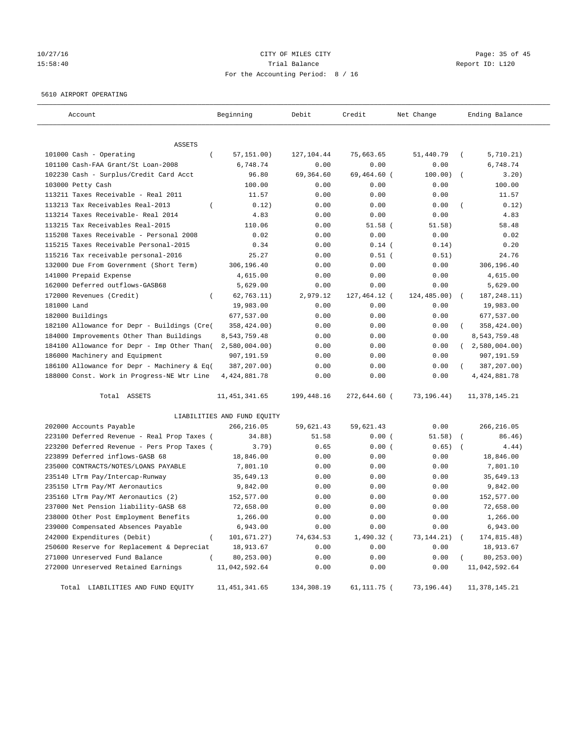## 10/27/16 Page: 35 of 45 15:58:40 Trial Balance Report ID: L120 For the Accounting Period: 8 / 16

#### 5610 AIRPORT OPERATING

| Account                                         | Beginning                   | Debit      | Credit       | Net Change   | Ending Balance       |
|-------------------------------------------------|-----------------------------|------------|--------------|--------------|----------------------|
| <b>ASSETS</b>                                   |                             |            |              |              |                      |
| 101000 Cash - Operating<br>$\left($             | 57,151.00)                  | 127,104.44 | 75,663.65    | 51,440.79    | 5,710.21)            |
| 101100 Cash-FAA Grant/St Loan-2008              | 6,748.74                    | 0.00       | 0.00         | 0.00         | 6,748.74             |
| 102230 Cash - Surplus/Credit Card Acct          | 96.80                       | 69,364.60  | 69,464.60 (  | 100.00)      | 3.20)<br>$\sqrt{ }$  |
| 103000 Petty Cash                               | 100.00                      | 0.00       | 0.00         | 0.00         | 100.00               |
| 113211 Taxes Receivable - Real 2011             | 11.57                       | 0.00       | 0.00         | 0.00         | 11.57                |
| 113213 Tax Receivables Real-2013                | 0.12)                       | 0.00       | 0.00         | 0.00         | 0.12)                |
| 113214 Taxes Receivable- Real 2014              | 4.83                        | 0.00       | 0.00         | 0.00         | 4.83                 |
| 113215 Tax Receivables Real-2015                | 110.06                      | 0.00       | $51.58$ (    | 51.58)       | 58.48                |
| 115208 Taxes Receivable - Personal 2008         | 0.02                        | 0.00       | 0.00         | 0.00         | 0.02                 |
| 115215 Taxes Receivable Personal-2015           | 0.34                        | 0.00       | $0.14$ (     | 0.14)        | 0.20                 |
| 115216 Tax receivable personal-2016             | 25.27                       | 0.00       | $0.51$ (     | 0.51)        | 24.76                |
| 132000 Due From Government (Short Term)         | 306,196.40                  | 0.00       | 0.00         | 0.00         | 306,196.40           |
| 141000 Prepaid Expense                          | 4,615.00                    | 0.00       | 0.00         | 0.00         | 4,615.00             |
| 162000 Deferred outflows-GASB68                 | 5,629.00                    | 0.00       | 0.00         | 0.00         | 5,629.00             |
| 172000 Revenues (Credit)<br>$\left($            | 62, 763.11)                 | 2,979.12   | 127,464.12 ( | 124, 485.00) | 187, 248.11)         |
| 181000 Land                                     | 19,983.00                   | 0.00       | 0.00         | 0.00         | 19,983.00            |
| 182000 Buildings                                | 677,537.00                  | 0.00       | 0.00         | 0.00         | 677,537.00           |
| 182100 Allowance for Depr - Buildings (Cre(     | 358,424.00)                 | 0.00       | 0.00         | 0.00         | 358,424.00)          |
| 184000 Improvements Other Than Buildings        | 8,543,759.48                | 0.00       | 0.00         | 0.00         | 8,543,759.48         |
| 184100 Allowance for Depr - Imp Other Than(     | 2,580,004.00)               | 0.00       | 0.00         | 0.00         | $2,580,004.00$ )     |
| 186000 Machinery and Equipment                  | 907,191.59                  | 0.00       | 0.00         | 0.00         | 907,191.59           |
| 186100 Allowance for Depr - Machinery & Eq(     | 387,207.00)                 | 0.00       | 0.00         | 0.00         | 387,207.00)          |
| 188000 Const. Work in Progress-NE Wtr Line      | 4, 424, 881.78              | 0.00       | 0.00         | 0.00         | 4, 424, 881.78       |
| Total ASSETS                                    | 11, 451, 341.65             | 199,448.16 | 272,644.60 ( | 73,196.44)   | 11,378,145.21        |
|                                                 | LIABILITIES AND FUND EQUITY |            |              |              |                      |
| 202000 Accounts Payable                         | 266,216.05                  | 59,621.43  | 59,621.43    | 0.00         | 266, 216.05          |
| 223100 Deferred Revenue - Real Prop Taxes (     | 34.88)                      | 51.58      | 0.00(        | 51.58)       | 86.46)<br>$\sqrt{2}$ |
| 223200 Deferred Revenue - Pers Prop Taxes (     | 3.79)                       | 0.65       | 0.00(        | 0.65)        | 4.44)                |
| 223899 Deferred inflows-GASB 68                 | 18,846.00                   | 0.00       | 0.00         | 0.00         | 18,846.00            |
| 235000 CONTRACTS/NOTES/LOANS PAYABLE            | 7,801.10                    | 0.00       | 0.00         | 0.00         | 7,801.10             |
| 235140 LTrm Pay/Intercap-Runway                 | 35,649.13                   | 0.00       | 0.00         | 0.00         | 35,649.13            |
| 235150 LTrm Pay/MT Aeronautics                  | 9,842.00                    | 0.00       | 0.00         | 0.00         | 9,842.00             |
| 235160 LTrm Pay/MT Aeronautics (2)              | 152,577.00                  | 0.00       | 0.00         | 0.00         | 152,577.00           |
| 237000 Net Pension liability-GASB 68            | 72,658.00                   | 0.00       | 0.00         | 0.00         | 72,658.00            |
| 238000 Other Post Employment Benefits           | 1,266.00                    | 0.00       | 0.00         | 0.00         | 1,266.00             |
| 239000 Compensated Absences Payable             | 6,943.00                    | 0.00       | 0.00         | 0.00         | 6,943.00             |
| 242000 Expenditures (Debit)<br>$\overline{(\ }$ | 101,671.27)                 | 74,634.53  | 1,490.32 (   | 73, 144. 21) | 174,815.48)          |
| 250600 Reserve for Replacement & Depreciat      | 18,913.67                   | 0.00       | 0.00         | 0.00         | 18,913.67            |
| 271000 Unreserved Fund Balance                  | 80,253.00)                  | 0.00       | 0.00         | 0.00         | 80, 253.00)          |
| 272000 Unreserved Retained Earnings             | 11,042,592.64               | 0.00       | 0.00         | 0.00         | 11,042,592.64        |
| Total LIABILITIES AND FUND EQUITY               | 11, 451, 341.65             | 134,308.19 | 61,111.75 (  | 73,196.44)   | 11,378,145.21        |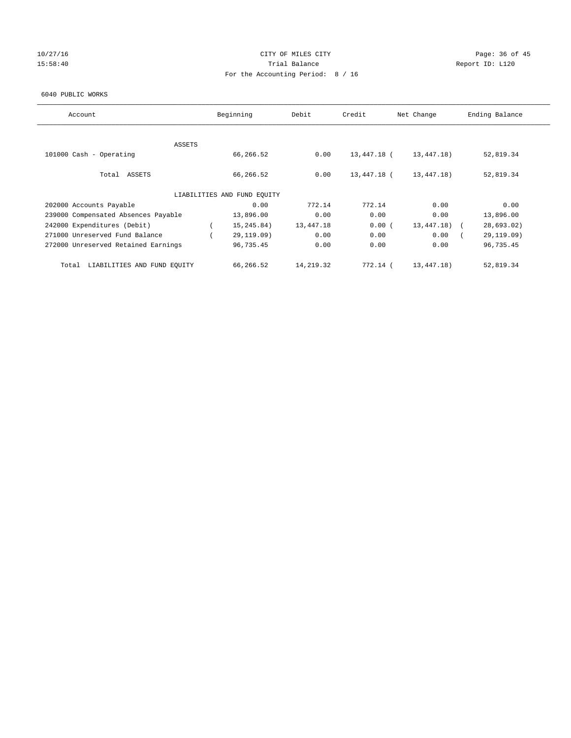## 10/27/16 **Page: 36 of 45** CITY OF MILES CITY **CITY** CITY **Page: 36 of 45** 15:58:40 **Trial Balance Trial Balance Report ID:** L120 For the Accounting Period: 8 / 16

#### 6040 PUBLIC WORKS

| Account                              | Beginning                   | Debit     | Credit      | Net Change | Ending Balance |
|--------------------------------------|-----------------------------|-----------|-------------|------------|----------------|
|                                      |                             |           |             |            |                |
| ASSETS                               |                             |           |             |            |                |
| 101000 Cash - Operating              | 66,266.52                   | 0.00      | 13,447.18 ( | 13,447.18) | 52,819.34      |
|                                      |                             |           |             |            |                |
| Total ASSETS                         | 66,266.52                   | 0.00      | 13,447.18 ( | 13,447.18) | 52,819.34      |
|                                      |                             |           |             |            |                |
|                                      | LIABILITIES AND FUND EQUITY |           |             |            |                |
| 202000 Accounts Payable              | 0.00                        | 772.14    | 772.14      | 0.00       | 0.00           |
| 239000 Compensated Absences Payable  | 13,896.00                   | 0.00      | 0.00        | 0.00       | 13,896.00      |
| 242000 Expenditures (Debit)          | 15,245.84)                  | 13,447.18 | 0.00(       | 13,447.18) | 28,693.02)     |
| 271000 Unreserved Fund Balance       | 29,119.09)                  | 0.00      | 0.00        | 0.00       | 29,119.09)     |
| 272000 Unreserved Retained Earnings  | 96,735.45                   | 0.00      | 0.00        | 0.00       | 96,735.45      |
|                                      |                             |           |             |            |                |
| LIABILITIES AND FUND EQUITY<br>Total | 66,266.52                   | 14,219.32 | 772.14 (    | 13,447.18) | 52,819.34      |
|                                      |                             |           |             |            |                |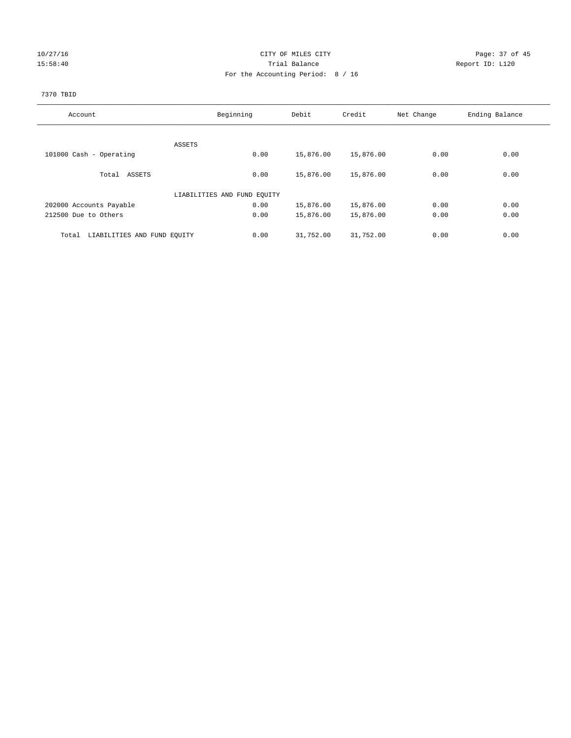## 10/27/16 Page: 37 of 45 15:58:40 **Trial Balance Trial Balance Report ID:** L120 For the Accounting Period: 8 / 16

#### 7370 TBID

| Account                              | Beginning                   | Debit     | Credit    | Net Change | Ending Balance |
|--------------------------------------|-----------------------------|-----------|-----------|------------|----------------|
|                                      |                             |           |           |            |                |
|                                      |                             |           |           |            |                |
|                                      | ASSETS                      |           |           |            |                |
| 101000 Cash - Operating              | 0.00                        | 15,876.00 | 15,876.00 | 0.00       | 0.00           |
|                                      |                             |           |           |            |                |
| Total ASSETS                         | 0.00                        | 15,876.00 | 15,876.00 | 0.00       | 0.00           |
|                                      |                             |           |           |            |                |
|                                      | LIABILITIES AND FUND EQUITY |           |           |            |                |
| 202000 Accounts Payable              | 0.00                        | 15,876.00 | 15,876.00 | 0.00       | 0.00           |
| 212500 Due to Others                 | 0.00                        | 15,876.00 | 15,876.00 | 0.00       | 0.00           |
|                                      |                             |           |           |            |                |
| LIABILITIES AND FUND EQUITY<br>Total | 0.00                        | 31,752.00 | 31,752.00 | 0.00       | 0.00           |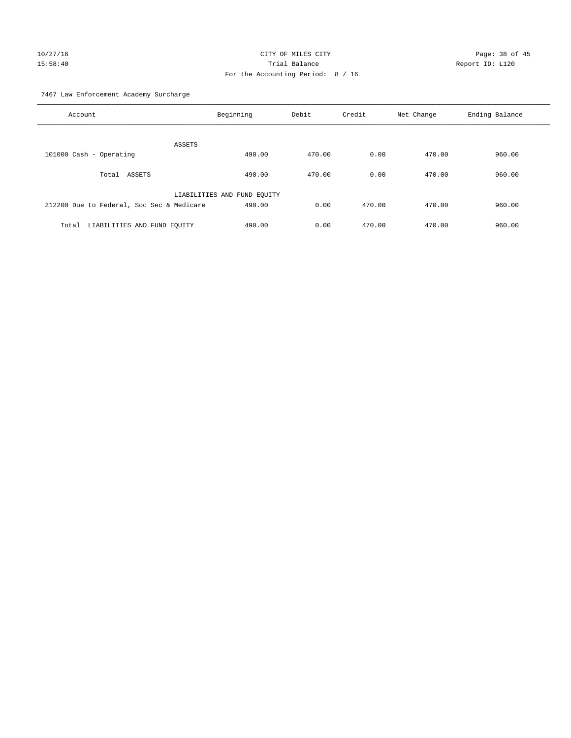# 10/27/16 Page: 38 of 45 15:58:40 Trial Balance Report ID: L120 For the Accounting Period: 8 / 16

7467 Law Enforcement Academy Surcharge

| Account                                   | Beginning                   | Debit  | Credit | Net Change | Ending Balance |
|-------------------------------------------|-----------------------------|--------|--------|------------|----------------|
|                                           | ASSETS                      |        |        |            |                |
| 101000 Cash - Operating                   | 490.00                      | 470.00 | 0.00   | 470.00     | 960.00         |
| Total ASSETS                              | 490.00                      | 470.00 | 0.00   | 470.00     | 960.00         |
|                                           | LIABILITIES AND FUND EQUITY |        |        |            |                |
| 212200 Due to Federal, Soc Sec & Medicare | 490.00                      | 0.00   | 470.00 | 470.00     | 960.00         |
| LIABILITIES AND FUND EQUITY<br>Total      | 490.00                      | 0.00   | 470.00 | 470.00     | 960.00         |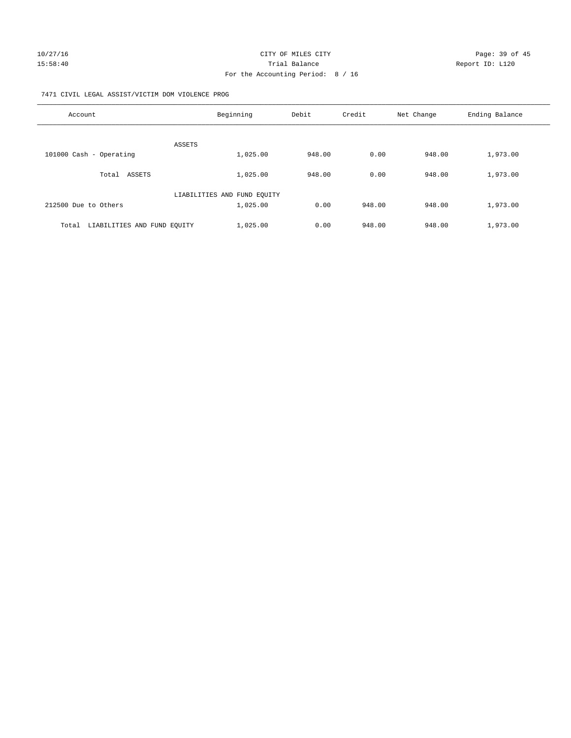#### 7471 CIVIL LEGAL ASSIST/VICTIM DOM VIOLENCE PROG

| Account                              | Beginning                   | Debit  | Credit | Net Change | Ending Balance |
|--------------------------------------|-----------------------------|--------|--------|------------|----------------|
| <b>ASSETS</b>                        |                             |        |        |            |                |
| 101000 Cash - Operating              | 1,025.00                    | 948.00 | 0.00   | 948.00     | 1,973.00       |
| ASSETS<br>Total                      | 1,025.00                    | 948.00 | 0.00   | 948.00     | 1,973.00       |
|                                      | LIABILITIES AND FUND EQUITY |        |        |            |                |
| 212500 Due to Others                 | 1,025.00                    | 0.00   | 948.00 | 948.00     | 1,973.00       |
| LIABILITIES AND FUND EQUITY<br>Total | 1,025.00                    | 0.00   | 948.00 | 948.00     | 1,973.00       |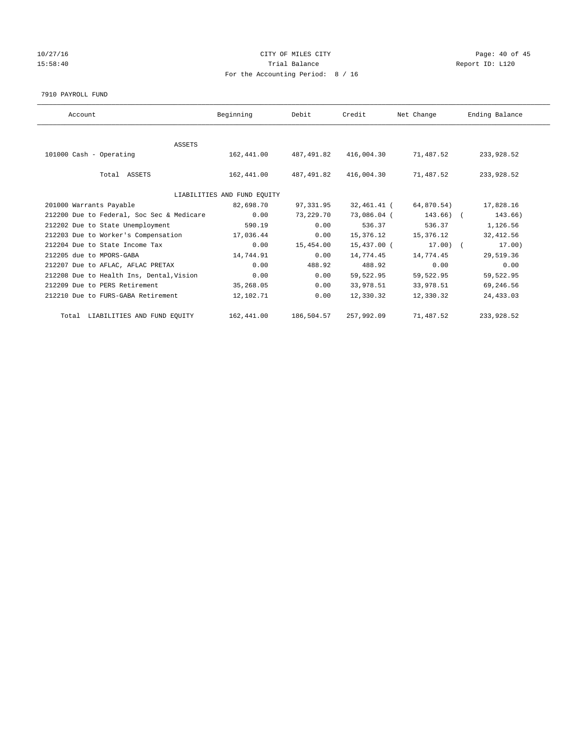## 10/27/16 Page: 40 of 45 15:58:40 **Trial Balance Trial Balance Report ID:** L120 For the Accounting Period: 8 / 16

#### 7910 PAYROLL FUND

| Account                                   | Beginning                   | Debit      | Credit      | Net Change | Ending Balance |
|-------------------------------------------|-----------------------------|------------|-------------|------------|----------------|
|                                           |                             |            |             |            |                |
| <b>ASSETS</b>                             |                             |            |             |            |                |
| 101000 Cash - Operating                   | 162,441.00                  | 487,491.82 | 416,004.30  | 71,487.52  | 233,928.52     |
|                                           |                             |            |             |            |                |
| Total ASSETS                              | 162,441.00                  | 487,491.82 | 416,004.30  | 71,487.52  | 233,928.52     |
|                                           |                             |            |             |            |                |
|                                           | LIABILITIES AND FUND EQUITY |            |             |            |                |
| 201000 Warrants Payable                   | 82,698.70                   | 97,331.95  | 32,461.41 ( | 64,870.54) | 17,828.16      |
| 212200 Due to Federal, Soc Sec & Medicare | 0.00                        | 73,229.70  | 73,086.04 ( | 143.66) (  | 143.66)        |
| 212202 Due to State Unemployment          | 590.19                      | 0.00       | 536.37      | 536.37     | 1,126.56       |
| 212203 Due to Worker's Compensation       | 17,036.44                   | 0.00       | 15,376.12   | 15,376.12  | 32, 412.56     |
| 212204 Due to State Income Tax            | 0.00                        | 15,454.00  | 15,437.00 ( | $17.00)$ ( | 17.00)         |
| 212205 due to MPORS-GABA                  | 14,744.91                   | 0.00       | 14,774.45   | 14,774.45  | 29,519.36      |
| 212207 Due to AFLAC, AFLAC PRETAX         | 0.00                        | 488.92     | 488.92      | 0.00       | 0.00           |
| 212208 Due to Health Ins, Dental, Vision  | 0.00                        | 0.00       | 59,522.95   | 59,522.95  | 59,522.95      |
| 212209 Due to PERS Retirement             | 35,268.05                   | 0.00       | 33,978.51   | 33,978.51  | 69,246.56      |
| 212210 Due to FURS-GABA Retirement        | 12,102.71                   | 0.00       | 12,330.32   | 12,330.32  | 24, 433.03     |
|                                           |                             |            |             |            |                |
| Total LIABILITIES AND FUND EQUITY         | 162,441.00                  | 186,504.57 | 257,992.09  | 71,487.52  | 233,928.52     |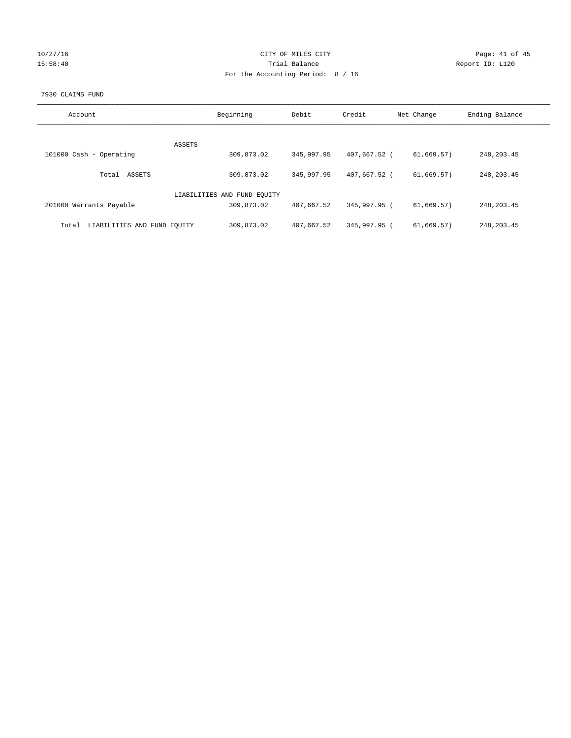|  |  |  | 10/27/16                               |  |
|--|--|--|----------------------------------------|--|
|  |  |  | $\Box$ $\circ$ $\cdot$ $\land$ $\land$ |  |

## CITY OF MILES CITY CONTROL CONTROL CONTROL CITY 15:58:40 **Trial Balance Trial Balance Report ID:** L120 For the Accounting Period: 8 / 16

#### 7930 CLAIMS FUND

| Account                              | Beginning                   | Debit      | Credit       | Net Change | Ending Balance |
|--------------------------------------|-----------------------------|------------|--------------|------------|----------------|
|                                      |                             |            |              |            |                |
|                                      | ASSETS                      |            |              |            |                |
| 101000 Cash - Operating              | 309,873.02                  | 345,997.95 | 407,667.52 ( | 61,669.57) | 248, 203.45    |
|                                      |                             |            |              |            |                |
| ASSETS<br>Total                      | 309,873.02                  | 345,997.95 | 407,667.52 ( | 61,669.57) | 248, 203.45    |
|                                      |                             |            |              |            |                |
|                                      | LIABILITIES AND FUND EQUITY |            |              |            |                |
| 201000 Warrants Payable              | 309,873.02                  | 407,667.52 | 345,997.95 ( | 61,669.57) | 248, 203.45    |
|                                      |                             |            |              |            |                |
|                                      |                             |            |              |            |                |
| LIABILITIES AND FUND EQUITY<br>Total | 309,873.02                  | 407,667.52 | 345,997.95 ( | 61,669.57) | 248, 203.45    |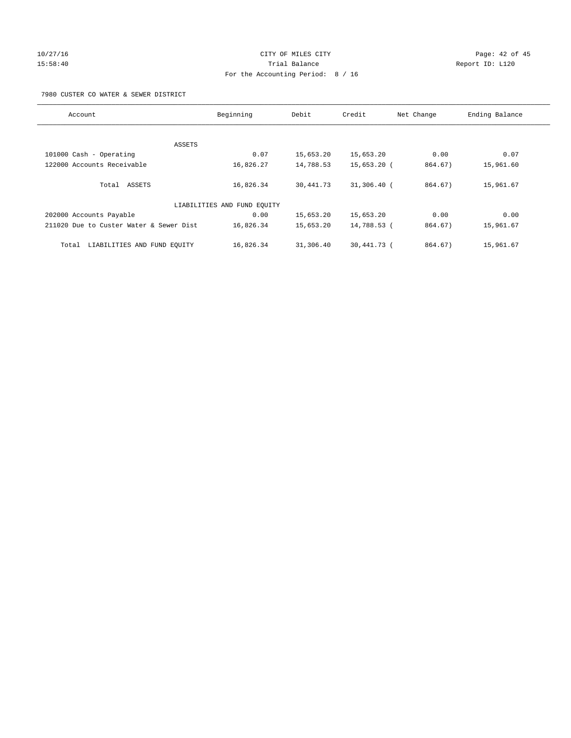# 10/27/16 Page: 42 of 45 15:58:40 **Trial Balance Trial Balance Report ID:** L120 For the Accounting Period: 8 / 16

7980 CUSTER CO WATER & SEWER DISTRICT

| Account                                 | Beginning                   | Debit     | Credit        | Net Change | Ending Balance |
|-----------------------------------------|-----------------------------|-----------|---------------|------------|----------------|
|                                         |                             |           |               |            |                |
| ASSETS                                  |                             |           |               |            |                |
| 101000 Cash - Operating                 | 0.07                        | 15,653.20 | 15,653.20     | 0.00       | 0.07           |
| 122000 Accounts Receivable              | 16,826.27                   | 14,788.53 | 15,653.20 (   | 864.67)    | 15,961.60      |
| Total ASSETS                            | 16,826.34                   | 30,441.73 | $31,306.40$ ( | 864.67)    | 15,961.67      |
|                                         | LIABILITIES AND FUND EQUITY |           |               |            |                |
| 202000 Accounts Payable                 | 0.00                        | 15,653.20 | 15,653.20     | 0.00       | 0.00           |
| 211020 Due to Custer Water & Sewer Dist | 16,826.34                   | 15,653.20 | 14,788.53 (   | 864.67)    | 15,961.67      |
| LIABILITIES AND FUND EQUITY<br>Total    | 16,826.34                   | 31,306.40 | 30,441.73 (   | 864.67)    | 15,961.67      |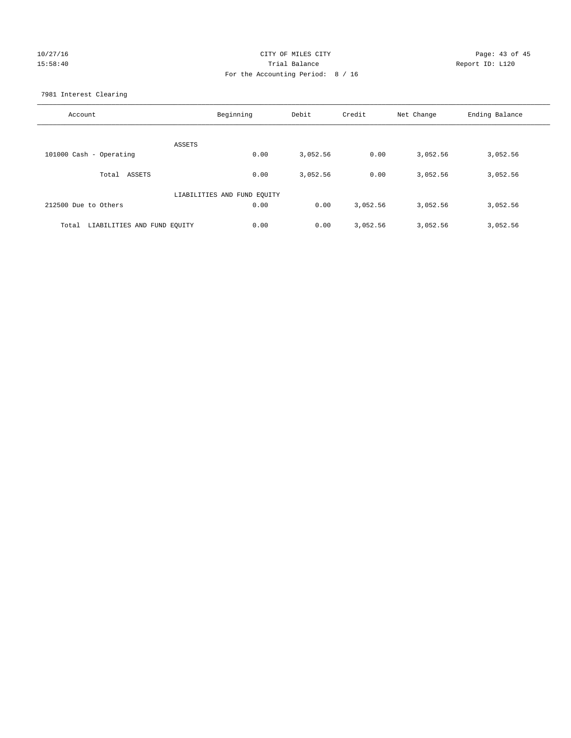## 10/27/16 Page: 43 of 45 15:58:40 Trial Balance Report ID: L120 For the Accounting Period: 8 / 16

7981 Interest Clearing

| Account                              | Beginning                   | Debit    | Credit   | Net Change | Ending Balance |
|--------------------------------------|-----------------------------|----------|----------|------------|----------------|
|                                      | ASSETS                      |          |          |            |                |
| 101000 Cash - Operating              | 0.00                        | 3,052.56 | 0.00     | 3,052.56   | 3,052.56       |
| Total ASSETS                         | 0.00                        | 3,052.56 | 0.00     | 3,052.56   | 3,052.56       |
|                                      | LIABILITIES AND FUND EQUITY |          |          |            |                |
| 212500 Due to Others                 | 0.00                        | 0.00     | 3,052.56 | 3,052.56   | 3,052.56       |
| LIABILITIES AND FUND EQUITY<br>Total | 0.00                        | 0.00     | 3,052.56 | 3,052.56   | 3,052.56       |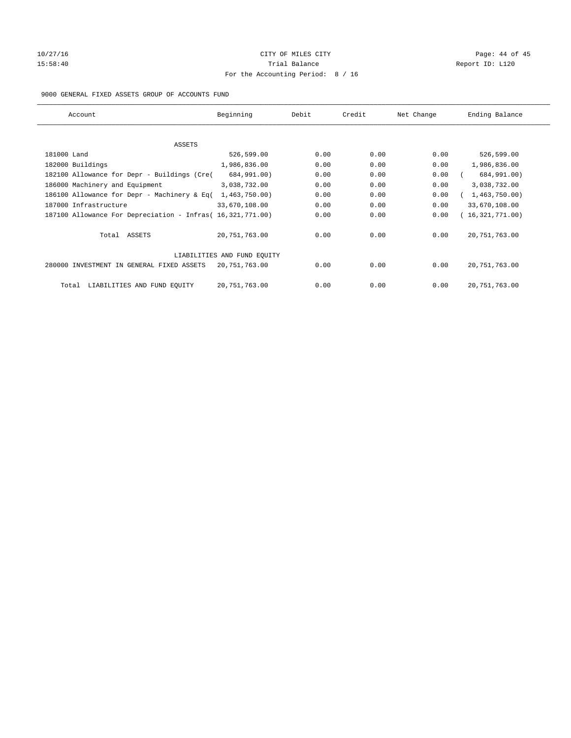# 10/27/16 Page: 44 of 45 15:58:40 **Trial Balance Trial Balance Report ID:** L120 For the Accounting Period: 8 / 16

#### 9000 GENERAL FIXED ASSETS GROUP OF ACCOUNTS FUND

| Account                                                    | Beginning                   | Debit | Credit | Net Change | Ending Balance  |
|------------------------------------------------------------|-----------------------------|-------|--------|------------|-----------------|
| ASSETS                                                     |                             |       |        |            |                 |
| 181000 Land                                                | 526,599.00                  | 0.00  | 0.00   | 0.00       | 526,599.00      |
| 182000 Buildings                                           | 1,986,836.00                | 0.00  | 0.00   | 0.00       | 1,986,836.00    |
| 182100 Allowance for Depr - Buildings (Cre(                | 684,991.00)                 | 0.00  | 0.00   | 0.00       | 684,991.00)     |
| 186000 Machinery and Equipment                             | 3,038,732.00                | 0.00  | 0.00   | 0.00       | 3,038,732.00    |
| 186100 Allowance for Depr - Machinery & Eq(                | 1,463,750.00)               | 0.00  | 0.00   | 0.00       | 1,463,750.00)   |
| 187000 Infrastructure                                      | 33,670,108.00               | 0.00  | 0.00   | 0.00       | 33,670,108.00   |
| 187100 Allowance For Depreciation - Infras( 16,321,771.00) |                             | 0.00  | 0.00   | 0.00       | 16,321,771.00)  |
| Total ASSETS                                               | 20,751,763.00               | 0.00  | 0.00   | 0.00       | 20, 751, 763.00 |
|                                                            | LIABILITIES AND FUND EQUITY |       |        |            |                 |
| 280000 INVESTMENT IN GENERAL FIXED ASSETS                  | 20,751,763.00               | 0.00  | 0.00   | 0.00       | 20, 751, 763.00 |
| LIABILITIES AND FUND EQUITY<br>Total                       | 20, 751, 763.00             | 0.00  | 0.00   | 0.00       | 20, 751, 763.00 |